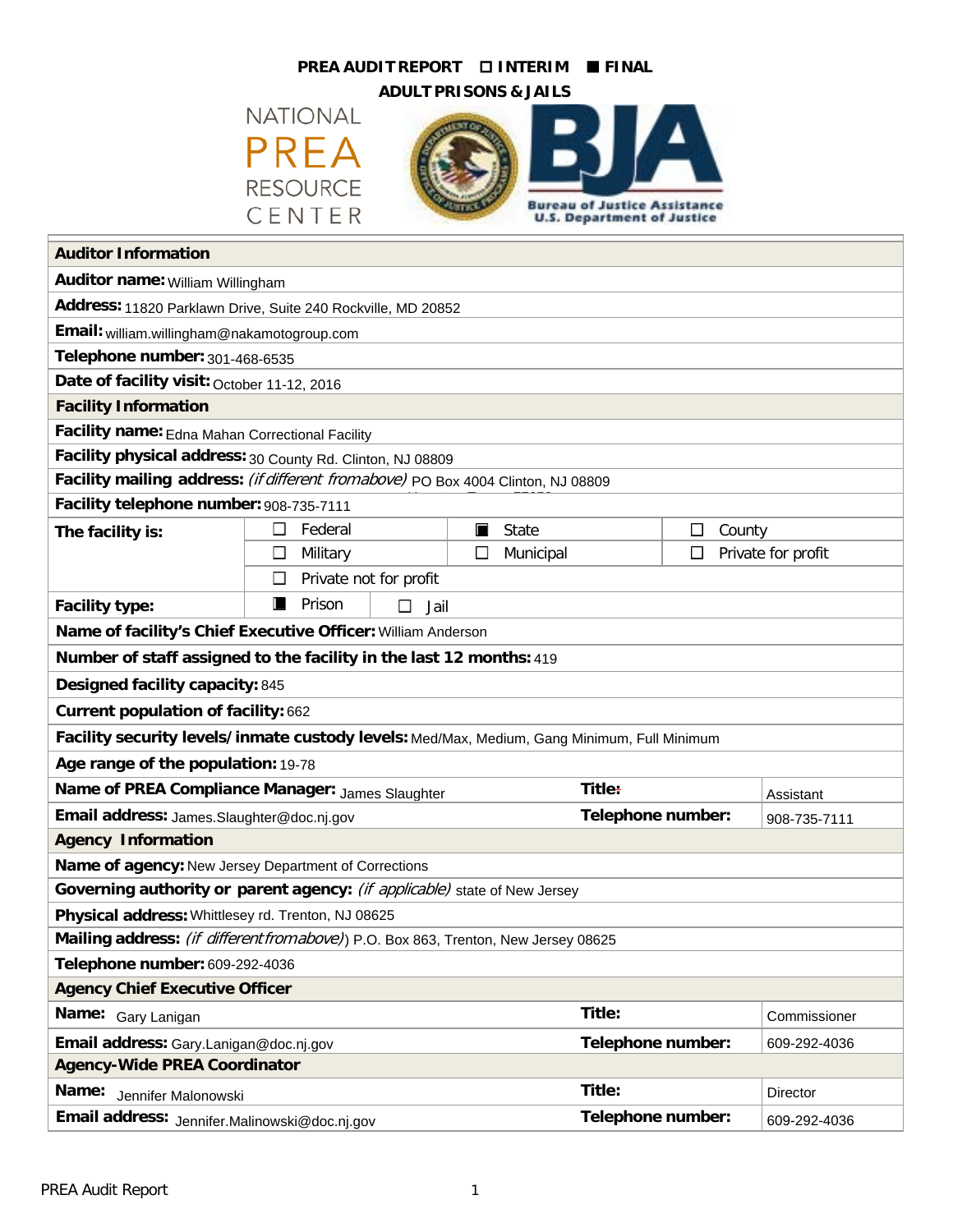# **PREA AUDIT REPORT INTERIM FINAL**



| <b>PREA AUDIT REPORT</b><br><b>DINTERIM</b><br><b>FINAL</b>                                 |                             |  |   |                                     |             |                    |  |
|---------------------------------------------------------------------------------------------|-----------------------------|--|---|-------------------------------------|-------------|--------------------|--|
| <b>ADULT PRISONS &amp; JAILS</b>                                                            |                             |  |   |                                     |             |                    |  |
|                                                                                             | <b>NATIONAL</b>             |  |   |                                     |             |                    |  |
|                                                                                             | PREA                        |  |   |                                     |             |                    |  |
|                                                                                             |                             |  |   |                                     |             |                    |  |
|                                                                                             | <b>RESOURCE</b>             |  |   | <b>Bureau of Justice Assistance</b> |             |                    |  |
|                                                                                             | CENTER                      |  |   | <b>U.S. Department of Justice</b>   |             |                    |  |
| <b>Auditor Information</b>                                                                  |                             |  |   |                                     |             |                    |  |
| Auditor name: William Willingham                                                            |                             |  |   |                                     |             |                    |  |
| Address: 11820 Parklawn Drive, Suite 240 Rockville, MD 20852                                |                             |  |   |                                     |             |                    |  |
| Email: william.willingham@nakamotogroup.com                                                 |                             |  |   |                                     |             |                    |  |
| Telephone number: 301-468-6535                                                              |                             |  |   |                                     |             |                    |  |
| Date of facility visit: October 11-12, 2016                                                 |                             |  |   |                                     |             |                    |  |
| <b>Facility Information</b>                                                                 |                             |  |   |                                     |             |                    |  |
| Facility name: Edna Mahan Correctional Facility                                             |                             |  |   |                                     |             |                    |  |
| Facility physical address: 30 County Rd. Clinton, NJ 08809                                  |                             |  |   |                                     |             |                    |  |
| Facility mailing address: (if different from above) PO Box 4004 Clinton, NJ 08809           |                             |  |   |                                     |             |                    |  |
| Facility telephone number: 908-735-7111                                                     |                             |  |   |                                     |             |                    |  |
| The facility is:                                                                            | Federal<br>ப                |  | П | State                               | County<br>ப |                    |  |
|                                                                                             | П<br>Military               |  |   | Municipal                           | П           | Private for profit |  |
|                                                                                             | □<br>Private not for profit |  |   |                                     |             |                    |  |
| <b>Facility type:</b>                                                                       | ш<br>Prison<br>□<br>Jail    |  |   |                                     |             |                    |  |
| Name of facility's Chief Executive Officer: William Anderson                                |                             |  |   |                                     |             |                    |  |
| Number of staff assigned to the facility in the last 12 months: 419                         |                             |  |   |                                     |             |                    |  |
| Designed facility capacity: 845                                                             |                             |  |   |                                     |             |                    |  |
| Current population of facility: 662                                                         |                             |  |   |                                     |             |                    |  |
| Facility security levels/inmate custody levels: Med/Max, Medium, Gang Minimum, Full Minimum |                             |  |   |                                     |             |                    |  |
| Age range of the population: 19-78                                                          |                             |  |   |                                     |             |                    |  |
| Name of PREA Compliance Manager: James Slaughter                                            |                             |  |   | Title:                              |             | Assistant          |  |
| Email address: James.Slaughter@doc.nj.gov                                                   |                             |  |   | Telephone number:                   |             | 908-735-7111       |  |
| <b>Agency Information</b>                                                                   |                             |  |   |                                     |             |                    |  |
| Name of agency: New Jersey Department of Corrections                                        |                             |  |   |                                     |             |                    |  |
| Governing authority or parent agency: (if applicable) state of New Jersey                   |                             |  |   |                                     |             |                    |  |
| Physical address: Whittlesey rd. Trenton, NJ 08625                                          |                             |  |   |                                     |             |                    |  |
| Mailing address: (if different from above)) P.O. Box 863, Trenton, New Jersey 08625         |                             |  |   |                                     |             |                    |  |
| Telephone number: 609-292-4036                                                              |                             |  |   |                                     |             |                    |  |
| <b>Agency Chief Executive Officer</b>                                                       |                             |  |   |                                     |             |                    |  |
| Name: Gary Lanigan                                                                          |                             |  |   | Title:                              |             | Commissioner       |  |
| Email address: Gary.Lanigan@doc.nj.gov                                                      |                             |  |   | Telephone number:                   |             | 609-292-4036       |  |
| <b>Agency-Wide PREA Coordinator</b>                                                         |                             |  |   |                                     |             |                    |  |
| Name:<br>Jennifer Malonowski                                                                |                             |  |   | Title:                              |             | Director           |  |
| Email address: Jennifer.Malinowski@doc.nj.gov                                               |                             |  |   | Telephone number:                   |             | 609-292-4036       |  |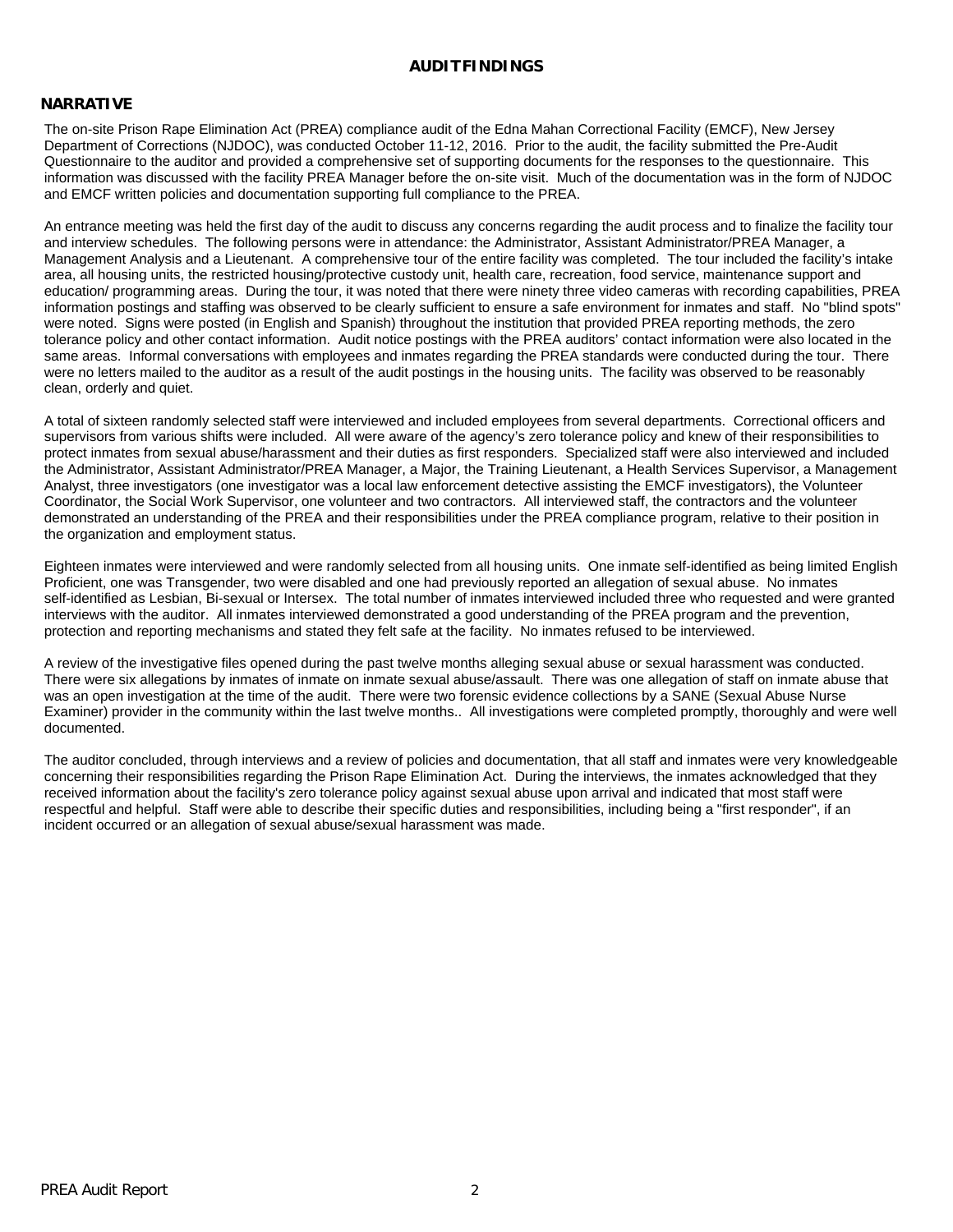#### **AUDITFINDINGS**

#### **NARRATIVE**

The on-site Prison Rape Elimination Act (PREA) compliance audit of the Edna Mahan Correctional Facility (EMCF), New Jersey Department of Corrections (NJDOC), was conducted October 11-12, 2016. Prior to the audit, the facility submitted the Pre-Audit Questionnaire to the auditor and provided a comprehensive set of supporting documents for the responses to the questionnaire. This information was discussed with the facility PREA Manager before the on-site visit. Much of the documentation was in the form of NJDOC and EMCF written policies and documentation supporting full compliance to the PREA.

An entrance meeting was held the first day of the audit to discuss any concerns regarding the audit process and to finalize the facility tour and interview schedules. The following persons were in attendance: the Administrator, Assistant Administrator/PREA Manager, a Management Analysis and a Lieutenant. A comprehensive tour of the entire facility was completed. The tour included the facility's intake area, all housing units, the restricted housing/protective custody unit, health care, recreation, food service, maintenance support and education/ programming areas. During the tour, it was noted that there were ninety three video cameras with recording capabilities, PREA information postings and staffing was observed to be clearly sufficient to ensure a safe environment for inmates and staff. No "blind spots" were noted. Signs were posted (in English and Spanish) throughout the institution that provided PREA reporting methods, the zero tolerance policy and other contact information. Audit notice postings with the PREA auditors' contact information were also located in the same areas. Informal conversations with employees and inmates regarding the PREA standards were conducted during the tour. There were no letters mailed to the auditor as a result of the audit postings in the housing units. The facility was observed to be reasonably clean, orderly and quiet.

A total of sixteen randomly selected staff were interviewed and included employees from several departments. Correctional officers and supervisors from various shifts were included. All were aware of the agency's zero tolerance policy and knew of their responsibilities to protect inmates from sexual abuse/harassment and their duties as first responders. Specialized staff were also interviewed and included the Administrator, Assistant Administrator/PREA Manager, a Major, the Training Lieutenant, a Health Services Supervisor, a Management Analyst, three investigators (one investigator was a local law enforcement detective assisting the EMCF investigators), the Volunteer Coordinator, the Social Work Supervisor, one volunteer and two contractors. All interviewed staff, the contractors and the volunteer demonstrated an understanding of the PREA and their responsibilities under the PREA compliance program, relative to their position in the organization and employment status.

Eighteen inmates were interviewed and were randomly selected from all housing units. One inmate self-identified as being limited English Proficient, one was Transgender, two were disabled and one had previously reported an allegation of sexual abuse. No inmates self-identified as Lesbian, Bi-sexual or Intersex. The total number of inmates interviewed included three who requested and were granted interviews with the auditor. All inmates interviewed demonstrated a good understanding of the PREA program and the prevention, protection and reporting mechanisms and stated they felt safe at the facility. No inmates refused to be interviewed.

A review of the investigative files opened during the past twelve months alleging sexual abuse or sexual harassment was conducted. There were six allegations by inmates of inmate on inmate sexual abuse/assault. There was one allegation of staff on inmate abuse that was an open investigation at the time of the audit. There were two forensic evidence collections by a SANE (Sexual Abuse Nurse Examiner) provider in the community within the last twelve months.. All investigations were completed promptly, thoroughly and were well documented.

The auditor concluded, through interviews and a review of policies and documentation, that all staff and inmates were very knowledgeable concerning their responsibilities regarding the Prison Rape Elimination Act. During the interviews, the inmates acknowledged that they received information about the facility's zero tolerance policy against sexual abuse upon arrival and indicated that most staff were respectful and helpful. Staff were able to describe their specific duties and responsibilities, including being a "first responder", if an incident occurred or an allegation of sexual abuse/sexual harassment was made.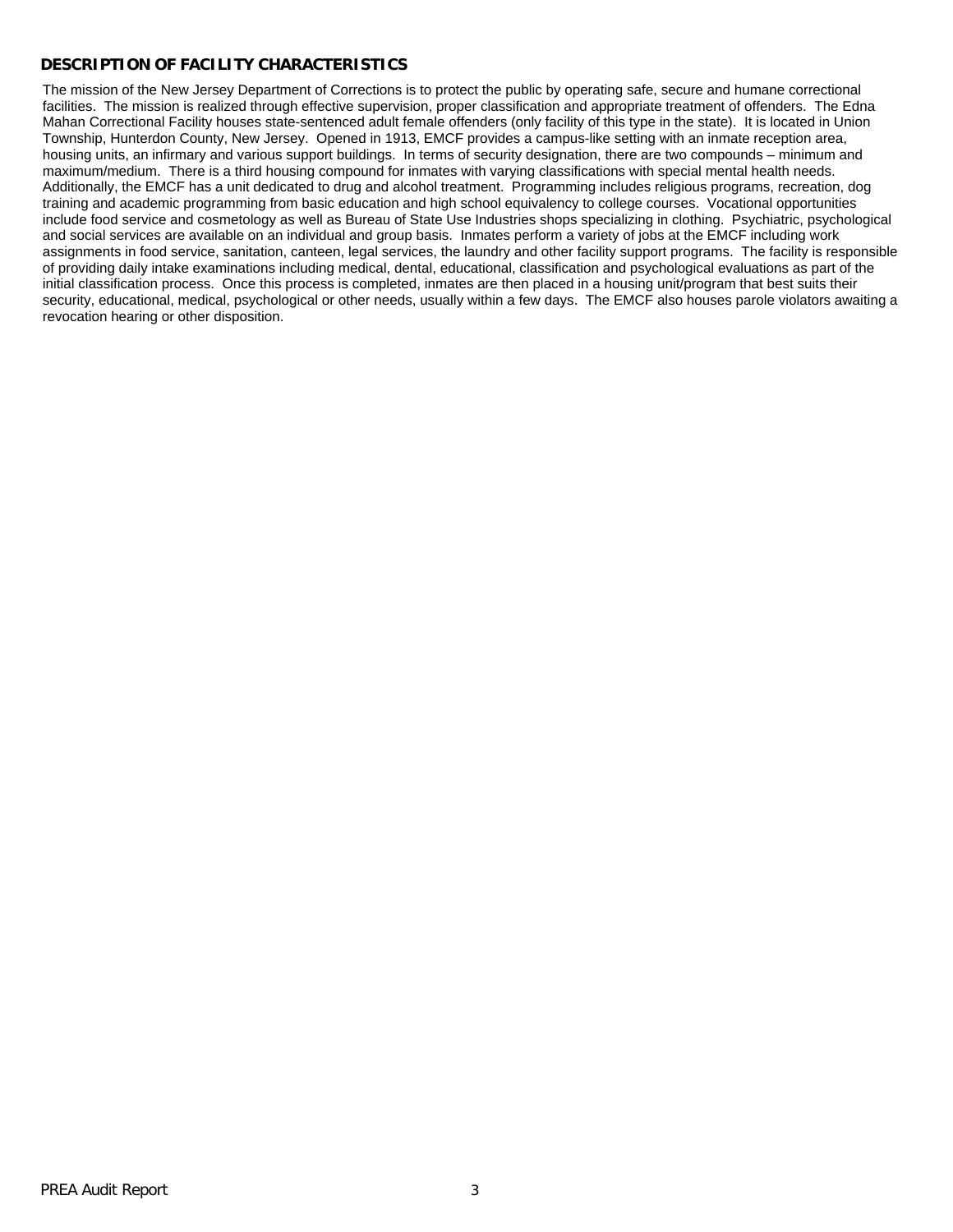### **DESCRIPTION OF FACILITY CHARACTERISTICS**

The mission of the New Jersey Department of Corrections is to protect the public by operating safe, secure and humane correctional facilities. The mission is realized through effective supervision, proper classification and appropriate treatment of offenders. The Edna Mahan Correctional Facility houses state-sentenced adult female offenders (only facility of this type in the state). It is located in Union Township, Hunterdon County, New Jersey. Opened in 1913, EMCF provides a campus-like setting with an inmate reception area, housing units, an infirmary and various support buildings. In terms of security designation, there are two compounds – minimum and maximum/medium. There is a third housing compound for inmates with varying classifications with special mental health needs. Additionally, the EMCF has a unit dedicated to drug and alcohol treatment. Programming includes religious programs, recreation, dog training and academic programming from basic education and high school equivalency to college courses. Vocational opportunities include food service and cosmetology as well as Bureau of State Use Industries shops specializing in clothing. Psychiatric, psychological and social services are available on an individual and group basis. Inmates perform a variety of jobs at the EMCF including work assignments in food service, sanitation, canteen, legal services, the laundry and other facility support programs. The facility is responsible of providing daily intake examinations including medical, dental, educational, classification and psychological evaluations as part of the initial classification process. Once this process is completed, inmates are then placed in a housing unit/program that best suits their security, educational, medical, psychological or other needs, usually within a few days. The EMCF also houses parole violators awaiting a revocation hearing or other disposition.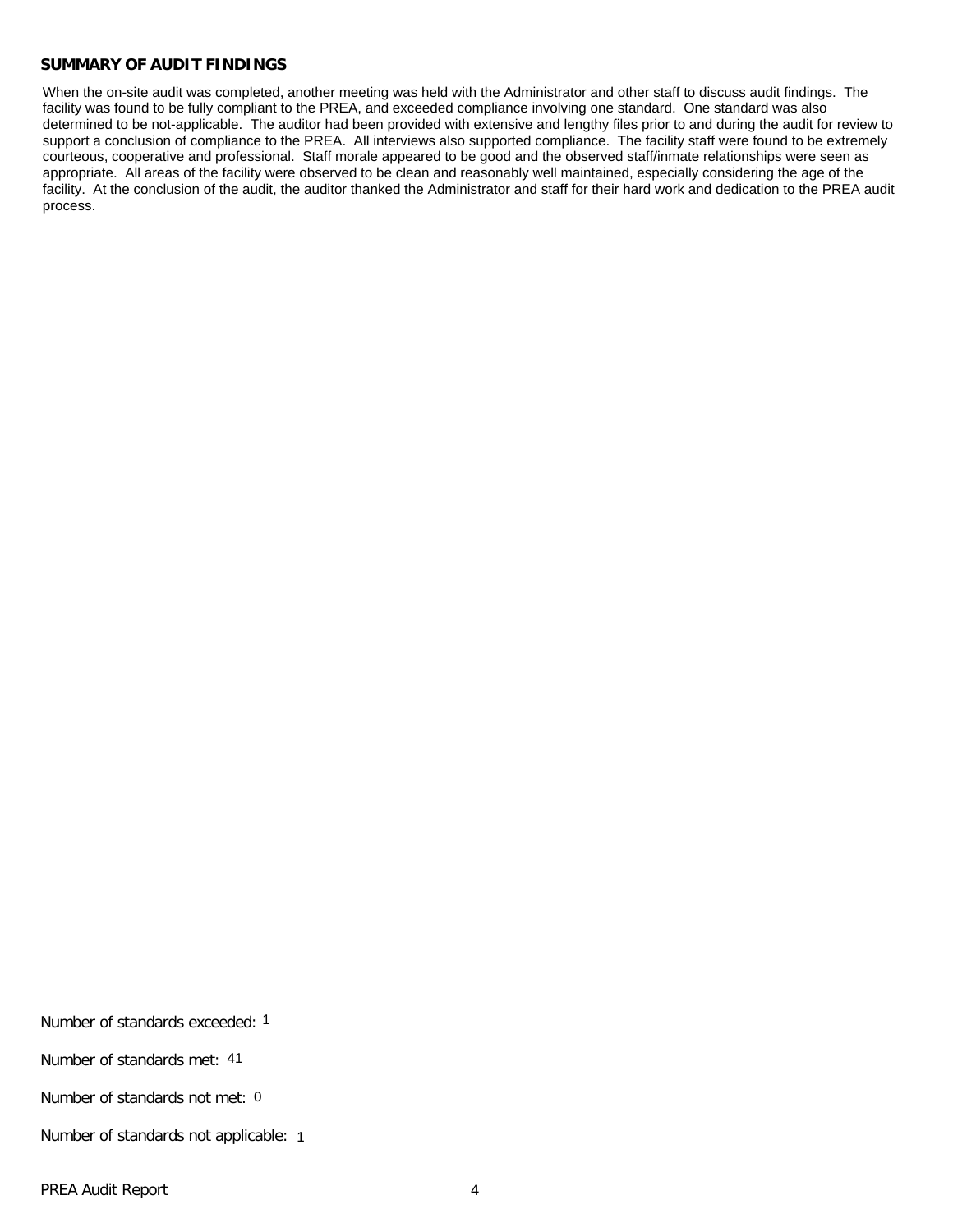#### **SUMMARY OF AUDIT FINDINGS**

When the on-site audit was completed, another meeting was held with the Administrator and other staff to discuss audit findings. The facility was found to be fully compliant to the PREA, and exceeded compliance involving one standard. One standard was also determined to be not-applicable. The auditor had been provided with extensive and lengthy files prior to and during the audit for review to support a conclusion of compliance to the PREA. All interviews also supported compliance. The facility staff were found to be extremely courteous, cooperative and professional. Staff morale appeared to be good and the observed staff/inmate relationships were seen as appropriate. All areas of the facility were observed to be clean and reasonably well maintained, especially considering the age of the facility. At the conclusion of the audit, the auditor thanked the Administrator and staff for their hard work and dedication to the PREA audit process.

Number of standards exceeded: 1 Number of standards met: 41

Number of standards not met: 0

Number of standards not applicable: 1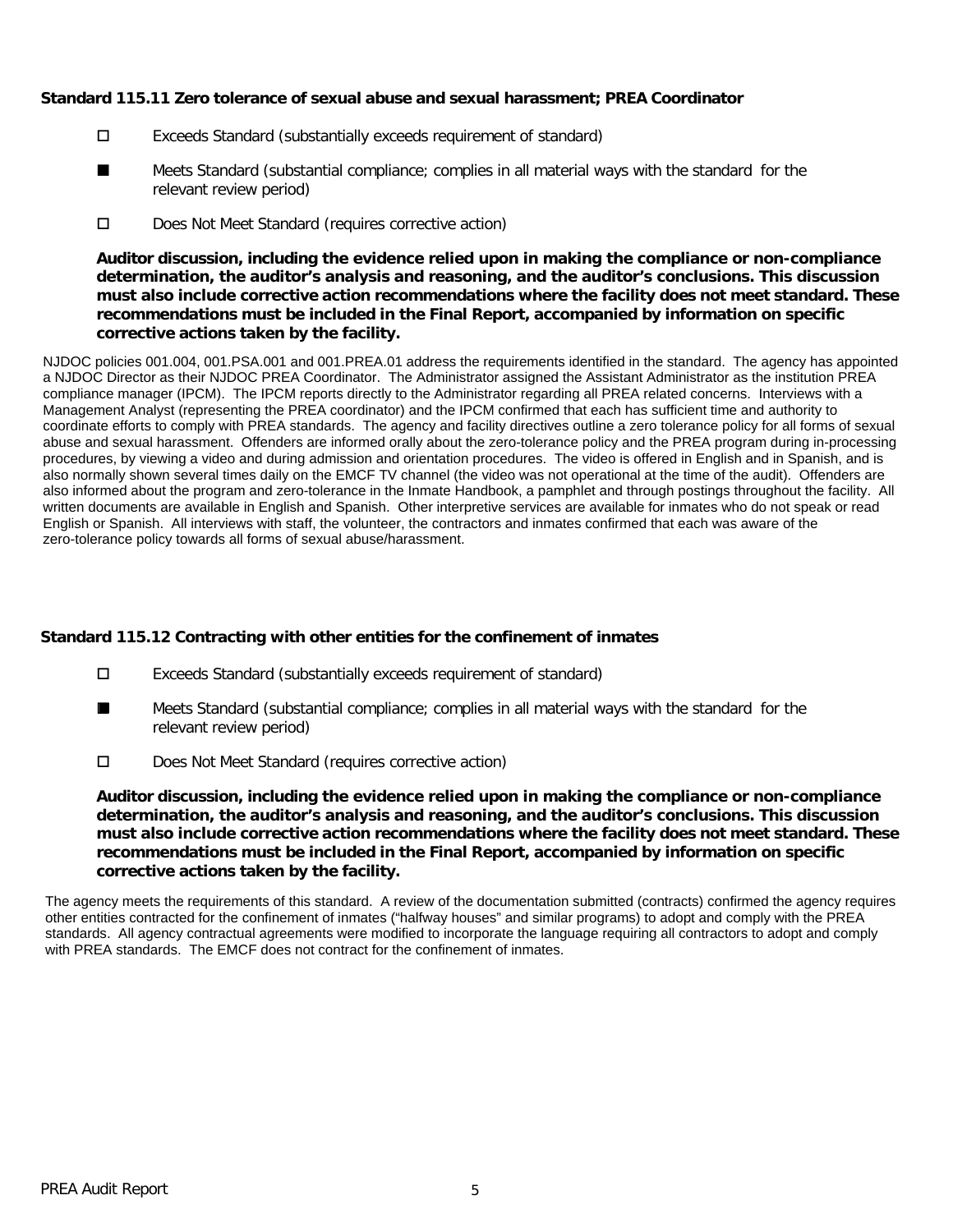### **Standard 115.11 Zero tolerance of sexual abuse and sexual harassment; PREA Coordinator**

- Exceeds Standard (substantially exceeds requirement of standard)
- Meets Standard (substantial compliance; complies in all material ways with the standard for the relevant review period) ■
- D Does Not Meet Standard (requires corrective action)

**Auditor discussion, including the evidence relied upon in making the compliance or non-compliance determination, the auditor's analysis and reasoning, and the auditor's conclusions. This discussion must also include corrective action recommendations where the facility does not meet standard. These recommendations must be included in the Final Report, accompanied by information on specific corrective actions taken by the facility.**

NJDOC policies 001.004, 001.PSA.001 and 001.PREA.01 address the requirements identified in the standard. The agency has appointed a NJDOC Director as their NJDOC PREA Coordinator. The Administrator assigned the Assistant Administrator as the institution PREA compliance manager (IPCM). The IPCM reports directly to the Administrator regarding all PREA related concerns. Interviews with a Management Analyst (representing the PREA coordinator) and the IPCM confirmed that each has sufficient time and authority to coordinate efforts to comply with PREA standards. The agency and facility directives outline a zero tolerance policy for all forms of sexual abuse and sexual harassment. Offenders are informed orally about the zero-tolerance policy and the PREA program during in-processing procedures, by viewing a video and during admission and orientation procedures. The video is offered in English and in Spanish, and is also normally shown several times daily on the EMCF TV channel (the video was not operational at the time of the audit). Offenders are also informed about the program and zero-tolerance in the Inmate Handbook, a pamphlet and through postings throughout the facility. All written documents are available in English and Spanish. Other interpretive services are available for inmates who do not speak or read English or Spanish. All interviews with staff, the volunteer, the contractors and inmates confirmed that each was aware of the zero-tolerance policy towards all forms of sexual abuse/harassment.

# **Standard 115.12 Contracting with other entities for the confinement of inmates**

- Exceeds Standard (substantially exceeds requirement of standard)
- Meets Standard (substantial compliance; complies in all material ways with the standard for the relevant review period) ■
- Does Not Meet Standard (requires corrective action)

**Auditor discussion, including the evidence relied upon in making the compliance or non-compliance determination, the auditor's analysis and reasoning, and the auditor's conclusions. This discussion must also include corrective action recommendations where the facility does not meet standard. These recommendations must be included in the Final Report, accompanied by information on specific corrective actions taken by the facility.**

The agency meets the requirements of this standard. A review of the documentation submitted (contracts) confirmed the agency requires other entities contracted for the confinement of inmates ("halfway houses" and similar programs) to adopt and comply with the PREA standards. All agency contractual agreements were modified to incorporate the language requiring all contractors to adopt and comply with PREA standards. The EMCF does not contract for the confinement of inmates.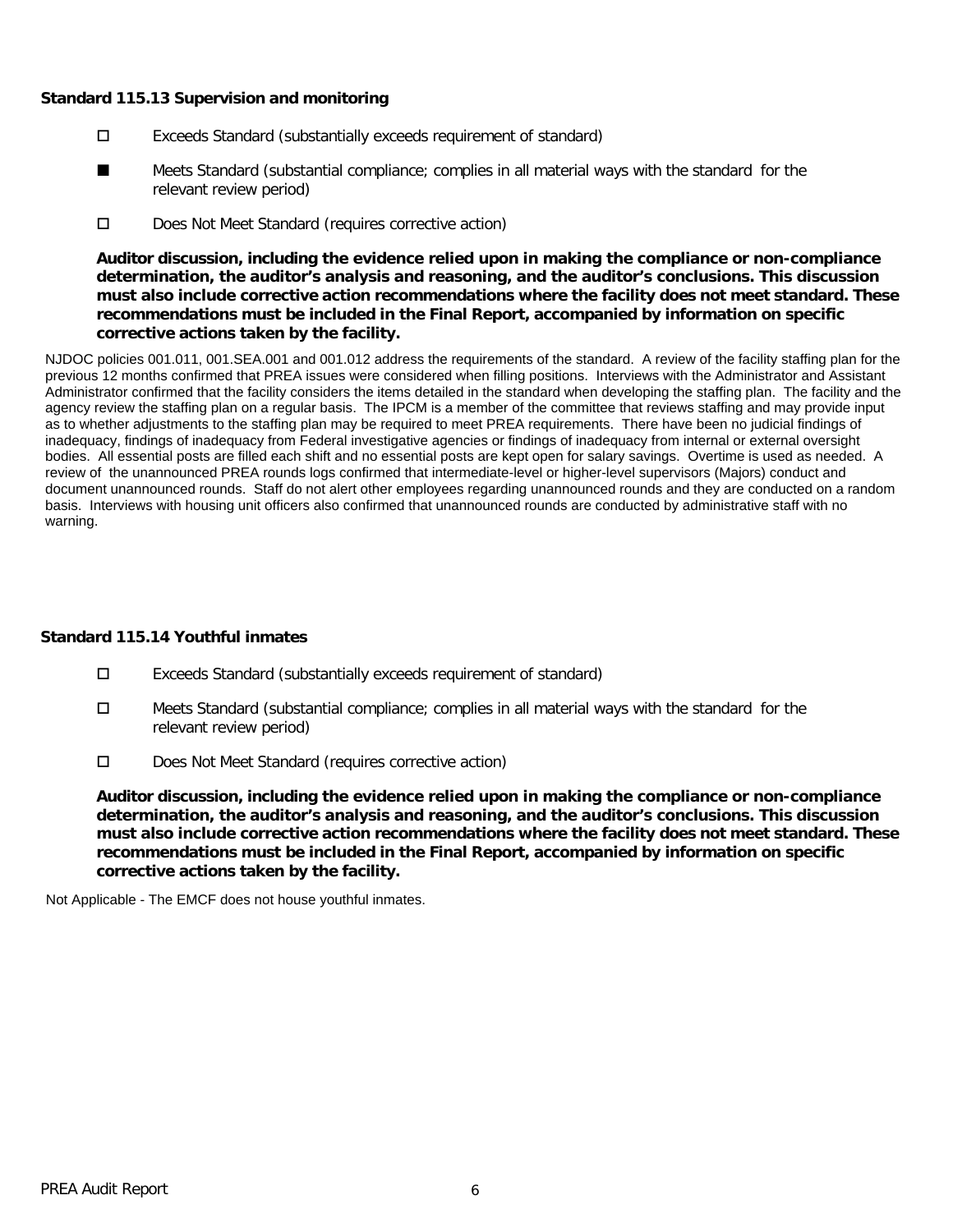### **Standard 115.13 Supervision and monitoring**

- Exceeds Standard (substantially exceeds requirement of standard)
- Meets Standard (substantial compliance; complies in all material ways with the standard for the relevant review period) ■
- D Does Not Meet Standard (requires corrective action)

**Auditor discussion, including the evidence relied upon in making the compliance or non-compliance determination, the auditor's analysis and reasoning, and the auditor's conclusions. This discussion must also include corrective action recommendations where the facility does not meet standard. These recommendations must be included in the Final Report, accompanied by information on specific corrective actions taken by the facility.**

NJDOC policies 001.011, 001.SEA.001 and 001.012 address the requirements of the standard. A review of the facility staffing plan for the previous 12 months confirmed that PREA issues were considered when filling positions. Interviews with the Administrator and Assistant Administrator confirmed that the facility considers the items detailed in the standard when developing the staffing plan. The facility and the agency review the staffing plan on a regular basis. The IPCM is a member of the committee that reviews staffing and may provide input as to whether adjustments to the staffing plan may be required to meet PREA requirements. There have been no judicial findings of inadequacy, findings of inadequacy from Federal investigative agencies or findings of inadequacy from internal or external oversight bodies. All essential posts are filled each shift and no essential posts are kept open for salary savings. Overtime is used as needed. A review of the unannounced PREA rounds logs confirmed that intermediate-level or higher-level supervisors (Majors) conduct and document unannounced rounds. Staff do not alert other employees regarding unannounced rounds and they are conducted on a random basis. Interviews with housing unit officers also confirmed that unannounced rounds are conducted by administrative staff with no warning.

# **Standard 115.14 Youthful inmates**

- Exceeds Standard (substantially exceeds requirement of standard)
- □ Meets Standard (substantial compliance; complies in all material ways with the standard for the relevant review period)
- D Does Not Meet Standard (requires corrective action)

**Auditor discussion, including the evidence relied upon in making the compliance or non-compliance determination, the auditor's analysis and reasoning, and the auditor's conclusions. This discussion must also include corrective action recommendations where the facility does not meet standard. These recommendations must be included in the Final Report, accompanied by information on specific corrective actions taken by the facility.**

Not Applicable - The EMCF does not house youthful inmates.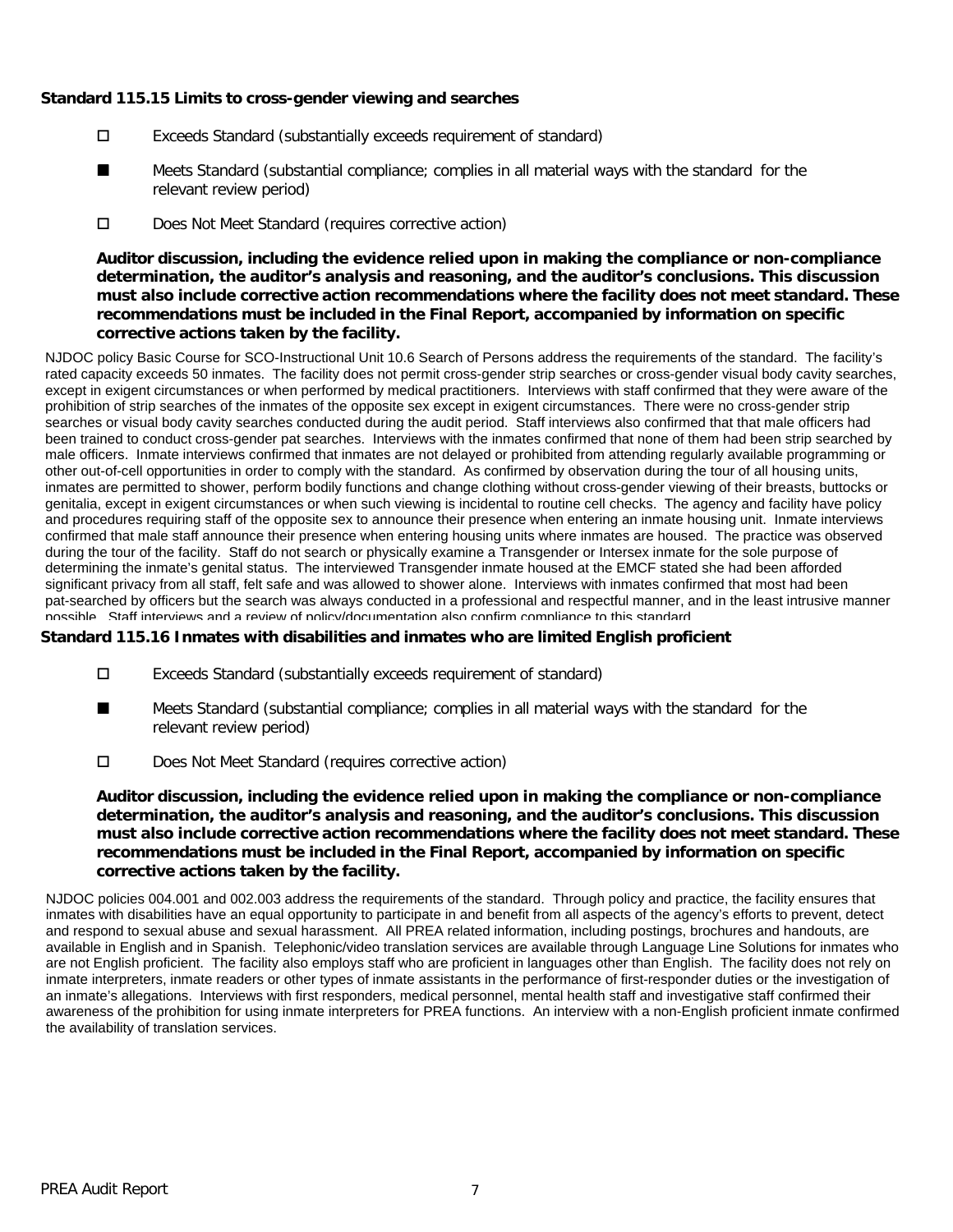### **Standard 115.15 Limits to cross-gender viewing and searches**

- Exceeds Standard (substantially exceeds requirement of standard)
- Meets Standard (substantial compliance; complies in all material ways with the standard for the relevant review period) ■
- Does Not Meet Standard (requires corrective action)

**Auditor discussion, including the evidence relied upon in making the compliance or non-compliance determination, the auditor's analysis and reasoning, and the auditor's conclusions. This discussion must also include corrective action recommendations where the facility does not meet standard. These recommendations must be included in the Final Report, accompanied by information on specific corrective actions taken by the facility.**

NJDOC policy Basic Course for SCO-Instructional Unit 10.6 Search of Persons address the requirements of the standard. The facility's rated capacity exceeds 50 inmates. The facility does not permit cross-gender strip searches or cross-gender visual body cavity searches, except in exigent circumstances or when performed by medical practitioners. Interviews with staff confirmed that they were aware of the prohibition of strip searches of the inmates of the opposite sex except in exigent circumstances. There were no cross-gender strip searches or visual body cavity searches conducted during the audit period. Staff interviews also confirmed that that male officers had been trained to conduct cross-gender pat searches. Interviews with the inmates confirmed that none of them had been strip searched by male officers. Inmate interviews confirmed that inmates are not delayed or prohibited from attending regularly available programming or other out-of-cell opportunities in order to comply with the standard. As confirmed by observation during the tour of all housing units, inmates are permitted to shower, perform bodily functions and change clothing without cross-gender viewing of their breasts, buttocks or genitalia, except in exigent circumstances or when such viewing is incidental to routine cell checks. The agency and facility have policy and procedures requiring staff of the opposite sex to announce their presence when entering an inmate housing unit. Inmate interviews confirmed that male staff announce their presence when entering housing units where inmates are housed. The practice was observed during the tour of the facility. Staff do not search or physically examine a Transgender or Intersex inmate for the sole purpose of determining the inmate's genital status. The interviewed Transgender inmate housed at the EMCF stated she had been afforded significant privacy from all staff, felt safe and was allowed to shower alone. Interviews with inmates confirmed that most had been pat-searched by officers but the search was always conducted in a professional and respectful manner, and in the least intrusive manner possible. Staff interviews and a review of policy/documentation also confirm compliance to this standard.

#### **Standard 115.16 Inmates with disabilities and inmates who are limited English proficient**

- Exceeds Standard (substantially exceeds requirement of standard)
- Meets Standard (substantial compliance; complies in all material ways with the standard for the relevant review period) ■
- Does Not Meet Standard (requires corrective action)

**Auditor discussion, including the evidence relied upon in making the compliance or non-compliance determination, the auditor's analysis and reasoning, and the auditor's conclusions. This discussion must also include corrective action recommendations where the facility does not meet standard. These recommendations must be included in the Final Report, accompanied by information on specific corrective actions taken by the facility.**

NJDOC policies 004.001 and 002.003 address the requirements of the standard. Through policy and practice, the facility ensures that inmates with disabilities have an equal opportunity to participate in and benefit from all aspects of the agency's efforts to prevent, detect and respond to sexual abuse and sexual harassment. All PREA related information, including postings, brochures and handouts, are available in English and in Spanish. Telephonic/video translation services are available through Language Line Solutions for inmates who are not English proficient. The facility also employs staff who are proficient in languages other than English. The facility does not rely on inmate interpreters, inmate readers or other types of inmate assistants in the performance of first-responder duties or the investigation of an inmate's allegations. Interviews with first responders, medical personnel, mental health staff and investigative staff confirmed their awareness of the prohibition for using inmate interpreters for PREA functions. An interview with a non-English proficient inmate confirmed the availability of translation services.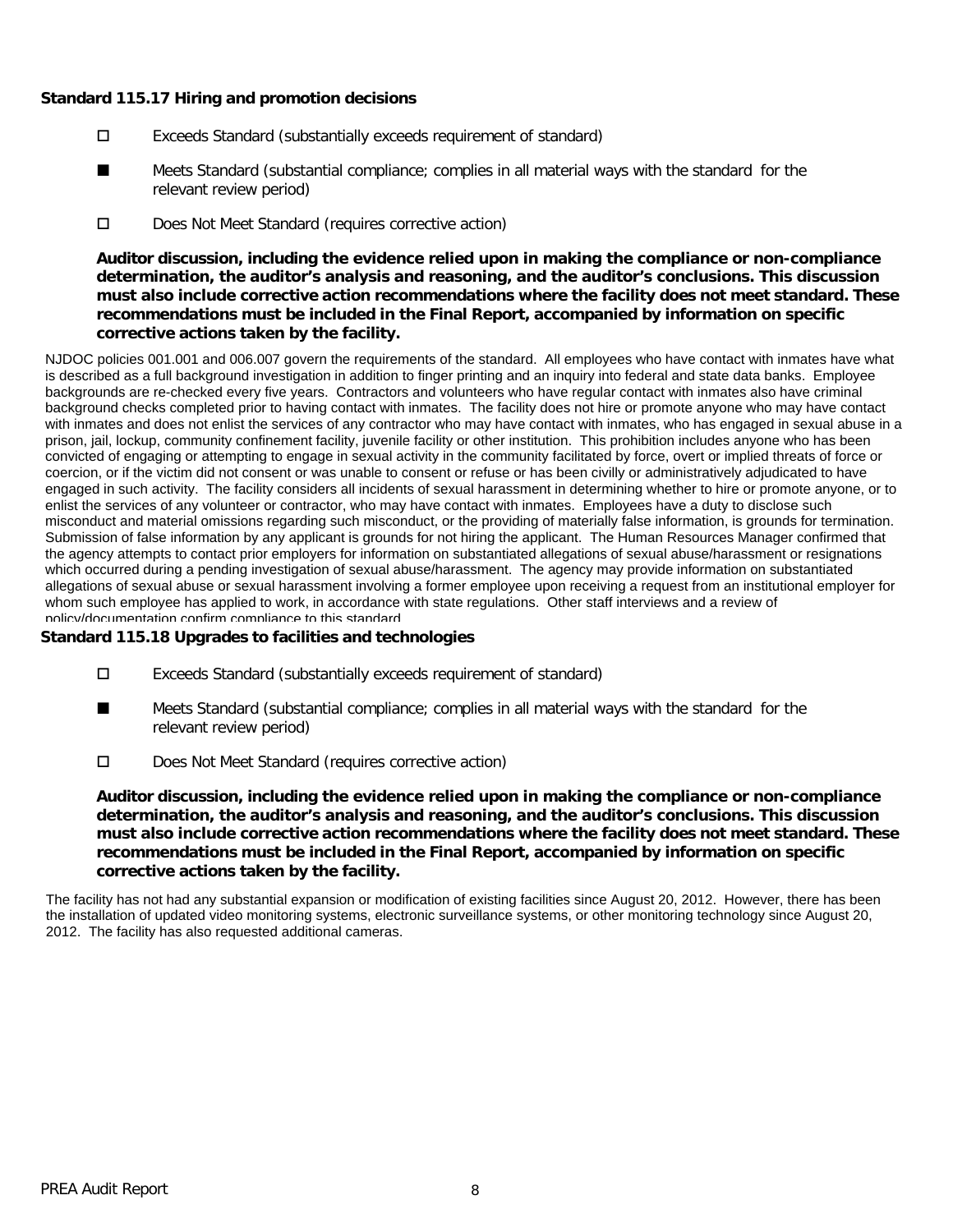### **Standard 115.17 Hiring and promotion decisions**

- Exceeds Standard (substantially exceeds requirement of standard)
- Meets Standard (substantial compliance; complies in all material ways with the standard for the relevant review period) ■
- D Does Not Meet Standard (requires corrective action)

**Auditor discussion, including the evidence relied upon in making the compliance or non-compliance determination, the auditor's analysis and reasoning, and the auditor's conclusions. This discussion must also include corrective action recommendations where the facility does not meet standard. These recommendations must be included in the Final Report, accompanied by information on specific corrective actions taken by the facility.**

NJDOC policies 001.001 and 006.007 govern the requirements of the standard. All employees who have contact with inmates have what is described as a full background investigation in addition to finger printing and an inquiry into federal and state data banks. Employee backgrounds are re-checked every five years. Contractors and volunteers who have regular contact with inmates also have criminal background checks completed prior to having contact with inmates. The facility does not hire or promote anyone who may have contact with inmates and does not enlist the services of any contractor who may have contact with inmates, who has engaged in sexual abuse in a prison, jail, lockup, community confinement facility, juvenile facility or other institution. This prohibition includes anyone who has been convicted of engaging or attempting to engage in sexual activity in the community facilitated by force, overt or implied threats of force or coercion, or if the victim did not consent or was unable to consent or refuse or has been civilly or administratively adjudicated to have engaged in such activity. The facility considers all incidents of sexual harassment in determining whether to hire or promote anyone, or to enlist the services of any volunteer or contractor, who may have contact with inmates. Employees have a duty to disclose such misconduct and material omissions regarding such misconduct, or the providing of materially false information, is grounds for termination. Submission of false information by any applicant is grounds for not hiring the applicant. The Human Resources Manager confirmed that the agency attempts to contact prior employers for information on substantiated allegations of sexual abuse/harassment or resignations which occurred during a pending investigation of sexual abuse/harassment. The agency may provide information on substantiated allegations of sexual abuse or sexual harassment involving a former employee upon receiving a request from an institutional employer for whom such employee has applied to work, in accordance with state regulations. Other staff interviews and a review of policy/documentation confirm compliance to this standard.

#### **Standard 115.18 Upgrades to facilities and technologies**

- Exceeds Standard (substantially exceeds requirement of standard)
- Meets Standard (substantial compliance; complies in all material ways with the standard for the relevant review period) ■
- Does Not Meet Standard (requires corrective action)

**Auditor discussion, including the evidence relied upon in making the compliance or non-compliance determination, the auditor's analysis and reasoning, and the auditor's conclusions. This discussion must also include corrective action recommendations where the facility does not meet standard. These recommendations must be included in the Final Report, accompanied by information on specific corrective actions taken by the facility.**

The facility has not had any substantial expansion or modification of existing facilities since August 20, 2012. However, there has been the installation of updated video monitoring systems, electronic surveillance systems, or other monitoring technology since August 20, 2012. The facility has also requested additional cameras.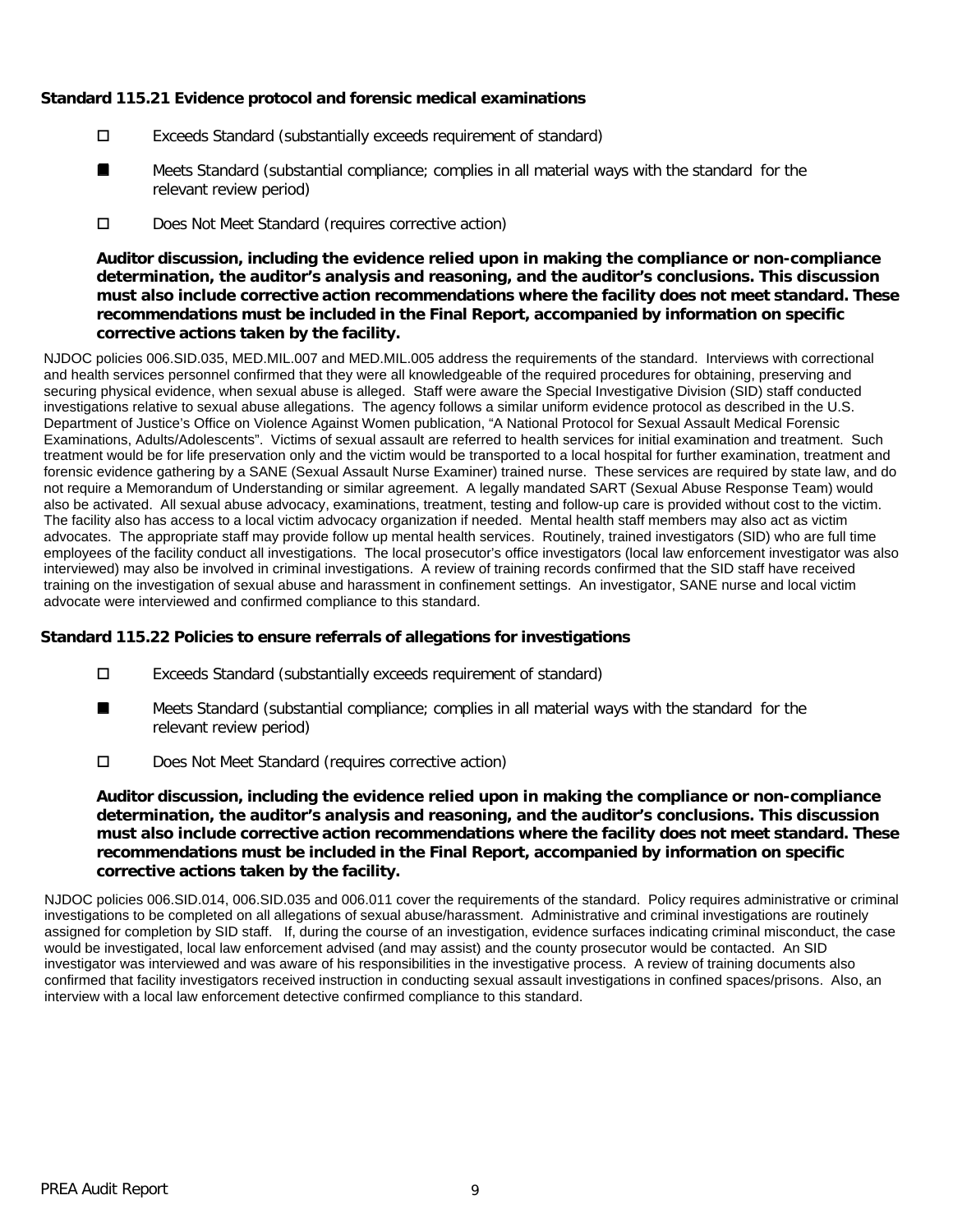### **Standard 115.21 Evidence protocol and forensic medical examinations**

- Exceeds Standard (substantially exceeds requirement of standard)
- Meets Standard (substantial compliance; complies in all material ways with the standard for the relevant review period) ■
- D Does Not Meet Standard (requires corrective action)

**Auditor discussion, including the evidence relied upon in making the compliance or non-compliance determination, the auditor's analysis and reasoning, and the auditor's conclusions. This discussion must also include corrective action recommendations where the facility does not meet standard. These recommendations must be included in the Final Report, accompanied by information on specific corrective actions taken by the facility.**

NJDOC policies 006.SID.035, MED.MIL.007 and MED.MIL.005 address the requirements of the standard. Interviews with correctional and health services personnel confirmed that they were all knowledgeable of the required procedures for obtaining, preserving and securing physical evidence, when sexual abuse is alleged. Staff were aware the Special Investigative Division (SID) staff conducted investigations relative to sexual abuse allegations. The agency follows a similar uniform evidence protocol as described in the U.S. Department of Justice's Office on Violence Against Women publication, "A National Protocol for Sexual Assault Medical Forensic Examinations, Adults/Adolescents". Victims of sexual assault are referred to health services for initial examination and treatment. Such treatment would be for life preservation only and the victim would be transported to a local hospital for further examination, treatment and forensic evidence gathering by a SANE (Sexual Assault Nurse Examiner) trained nurse. These services are required by state law, and do not require a Memorandum of Understanding or similar agreement. A legally mandated SART (Sexual Abuse Response Team) would also be activated. All sexual abuse advocacy, examinations, treatment, testing and follow-up care is provided without cost to the victim. The facility also has access to a local victim advocacy organization if needed. Mental health staff members may also act as victim advocates. The appropriate staff may provide follow up mental health services. Routinely, trained investigators (SID) who are full time employees of the facility conduct all investigations. The local prosecutor's office investigators (local law enforcement investigator was also interviewed) may also be involved in criminal investigations. A review of training records confirmed that the SID staff have received training on the investigation of sexual abuse and harassment in confinement settings. An investigator, SANE nurse and local victim advocate were interviewed and confirmed compliance to this standard.

#### **Standard 115.22 Policies to ensure referrals of allegations for investigations**

- Exceeds Standard (substantially exceeds requirement of standard)
- Meets Standard (substantial compliance; complies in all material ways with the standard for the relevant review period) ■
- D Does Not Meet Standard (requires corrective action)

**Auditor discussion, including the evidence relied upon in making the compliance or non-compliance determination, the auditor's analysis and reasoning, and the auditor's conclusions. This discussion must also include corrective action recommendations where the facility does not meet standard. These recommendations must be included in the Final Report, accompanied by information on specific corrective actions taken by the facility.**

NJDOC policies 006.SID.014, 006.SID.035 and 006.011 cover the requirements of the standard. Policy requires administrative or criminal investigations to be completed on all allegations of sexual abuse/harassment. Administrative and criminal investigations are routinely assigned for completion by SID staff. If, during the course of an investigation, evidence surfaces indicating criminal misconduct, the case would be investigated, local law enforcement advised (and may assist) and the county prosecutor would be contacted. An SID investigator was interviewed and was aware of his responsibilities in the investigative process. A review of training documents also confirmed that facility investigators received instruction in conducting sexual assault investigations in confined spaces/prisons. Also, an interview with a local law enforcement detective confirmed compliance to this standard.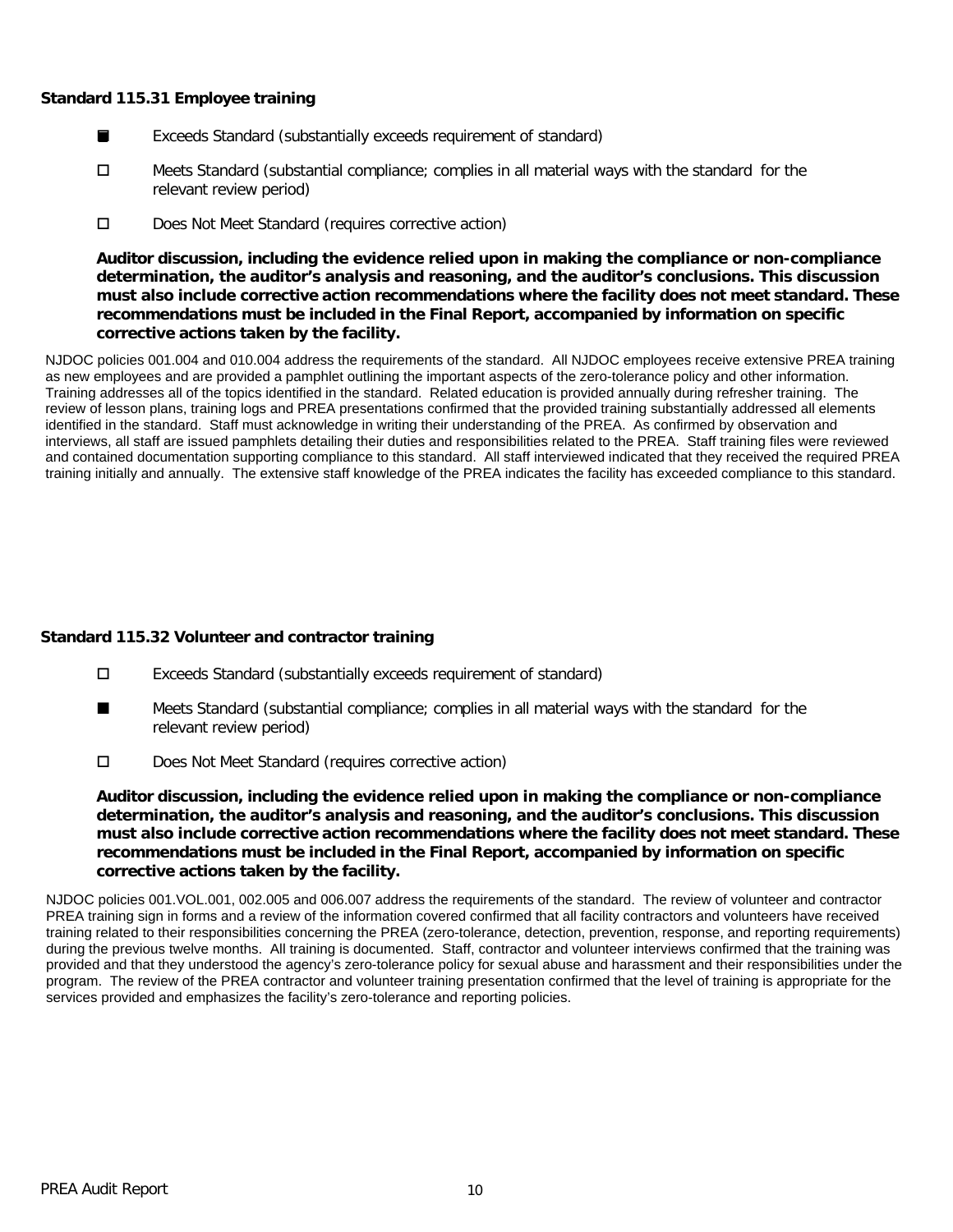#### **Standard 115.31 Employee training**

- Exceeds Standard (substantially exceeds requirement of standard) ■
- □ Meets Standard (substantial compliance; complies in all material ways with the standard for the relevant review period)
- D Does Not Meet Standard (requires corrective action)

**Auditor discussion, including the evidence relied upon in making the compliance or non-compliance determination, the auditor's analysis and reasoning, and the auditor's conclusions. This discussion must also include corrective action recommendations where the facility does not meet standard. These recommendations must be included in the Final Report, accompanied by information on specific corrective actions taken by the facility.**

NJDOC policies 001.004 and 010.004 address the requirements of the standard. All NJDOC employees receive extensive PREA training as new employees and are provided a pamphlet outlining the important aspects of the zero-tolerance policy and other information. Training addresses all of the topics identified in the standard. Related education is provided annually during refresher training. The review of lesson plans, training logs and PREA presentations confirmed that the provided training substantially addressed all elements identified in the standard. Staff must acknowledge in writing their understanding of the PREA. As confirmed by observation and interviews, all staff are issued pamphlets detailing their duties and responsibilities related to the PREA. Staff training files were reviewed and contained documentation supporting compliance to this standard. All staff interviewed indicated that they received the required PREA training initially and annually. The extensive staff knowledge of the PREA indicates the facility has exceeded compliance to this standard.

# **Standard 115.32 Volunteer and contractor training**

- Exceeds Standard (substantially exceeds requirement of standard)
- Meets Standard (substantial compliance; complies in all material ways with the standard for the relevant review period) ■
- Does Not Meet Standard (requires corrective action)

**Auditor discussion, including the evidence relied upon in making the compliance or non-compliance determination, the auditor's analysis and reasoning, and the auditor's conclusions. This discussion must also include corrective action recommendations where the facility does not meet standard. These recommendations must be included in the Final Report, accompanied by information on specific corrective actions taken by the facility.**

NJDOC policies 001.VOL.001, 002.005 and 006.007 address the requirements of the standard. The review of volunteer and contractor PREA training sign in forms and a review of the information covered confirmed that all facility contractors and volunteers have received training related to their responsibilities concerning the PREA (zero-tolerance, detection, prevention, response, and reporting requirements) during the previous twelve months. All training is documented. Staff, contractor and volunteer interviews confirmed that the training was provided and that they understood the agency's zero-tolerance policy for sexual abuse and harassment and their responsibilities under the program. The review of the PREA contractor and volunteer training presentation confirmed that the level of training is appropriate for the services provided and emphasizes the facility's zero-tolerance and reporting policies.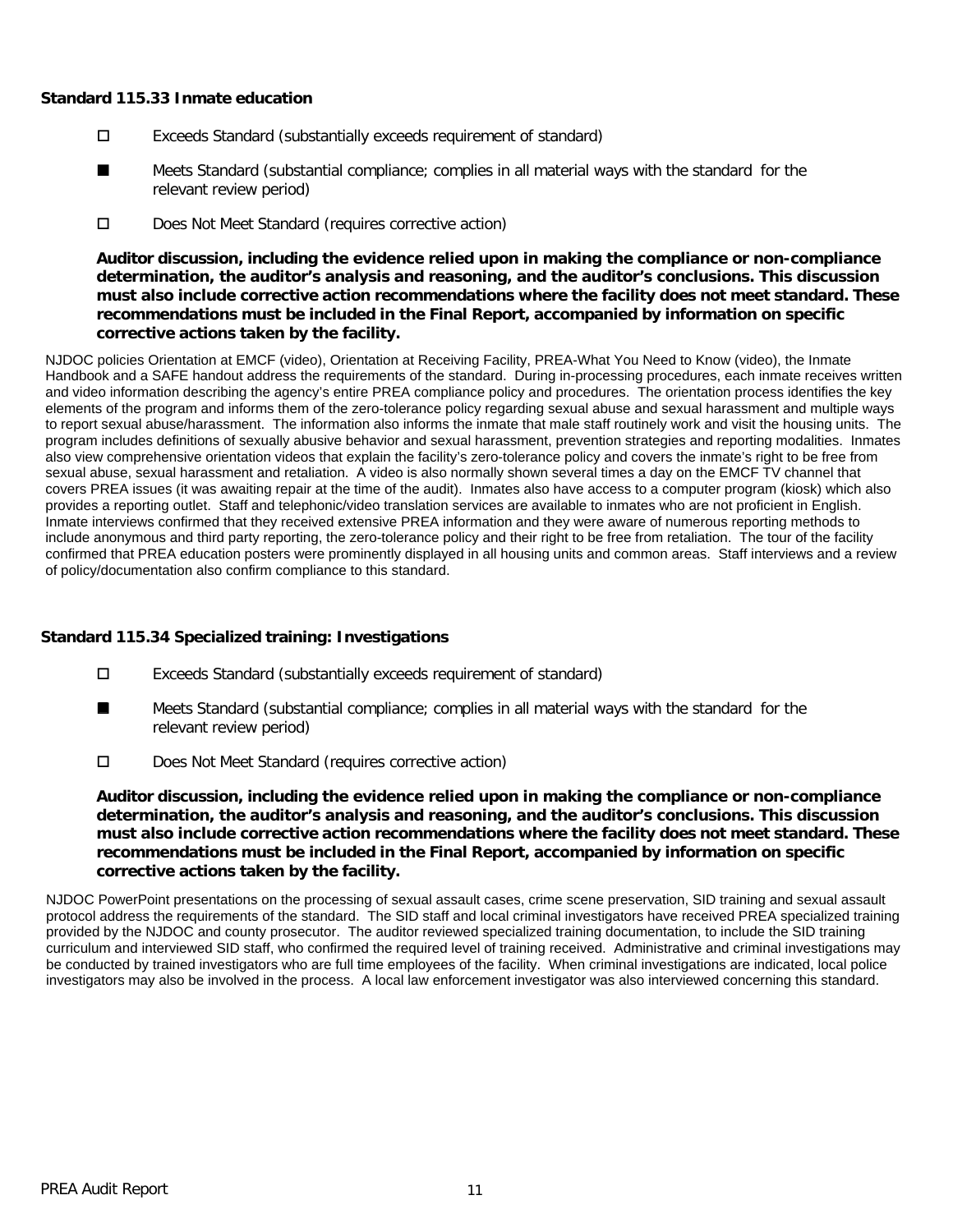#### **Standard 115.33 Inmate education**

- Exceeds Standard (substantially exceeds requirement of standard)
- Meets Standard (substantial compliance; complies in all material ways with the standard for the relevant review period) ■
- D Does Not Meet Standard (requires corrective action)

**Auditor discussion, including the evidence relied upon in making the compliance or non-compliance determination, the auditor's analysis and reasoning, and the auditor's conclusions. This discussion must also include corrective action recommendations where the facility does not meet standard. These recommendations must be included in the Final Report, accompanied by information on specific corrective actions taken by the facility.**

NJDOC policies Orientation at EMCF (video), Orientation at Receiving Facility, PREA-What You Need to Know (video), the Inmate Handbook and a SAFE handout address the requirements of the standard. During in-processing procedures, each inmate receives written and video information describing the agency's entire PREA compliance policy and procedures. The orientation process identifies the key elements of the program and informs them of the zero-tolerance policy regarding sexual abuse and sexual harassment and multiple ways to report sexual abuse/harassment. The information also informs the inmate that male staff routinely work and visit the housing units. The program includes definitions of sexually abusive behavior and sexual harassment, prevention strategies and reporting modalities. Inmates also view comprehensive orientation videos that explain the facility's zero-tolerance policy and covers the inmate's right to be free from sexual abuse, sexual harassment and retaliation. A video is also normally shown several times a day on the EMCF TV channel that covers PREA issues (it was awaiting repair at the time of the audit). Inmates also have access to a computer program (kiosk) which also provides a reporting outlet. Staff and telephonic/video translation services are available to inmates who are not proficient in English. Inmate interviews confirmed that they received extensive PREA information and they were aware of numerous reporting methods to include anonymous and third party reporting, the zero-tolerance policy and their right to be free from retaliation. The tour of the facility confirmed that PREA education posters were prominently displayed in all housing units and common areas. Staff interviews and a review of policy/documentation also confirm compliance to this standard.

# **Standard 115.34 Specialized training: Investigations**

- Exceeds Standard (substantially exceeds requirement of standard)
- Meets Standard (substantial compliance; complies in all material ways with the standard for the relevant review period) ■
- D Does Not Meet Standard (requires corrective action)

**Auditor discussion, including the evidence relied upon in making the compliance or non-compliance determination, the auditor's analysis and reasoning, and the auditor's conclusions. This discussion must also include corrective action recommendations where the facility does not meet standard. These recommendations must be included in the Final Report, accompanied by information on specific corrective actions taken by the facility.**

NJDOC PowerPoint presentations on the processing of sexual assault cases, crime scene preservation, SID training and sexual assault protocol address the requirements of the standard. The SID staff and local criminal investigators have received PREA specialized training provided by the NJDOC and county prosecutor. The auditor reviewed specialized training documentation, to include the SID training curriculum and interviewed SID staff, who confirmed the required level of training received. Administrative and criminal investigations may be conducted by trained investigators who are full time employees of the facility. When criminal investigations are indicated, local police investigators may also be involved in the process. A local law enforcement investigator was also interviewed concerning this standard.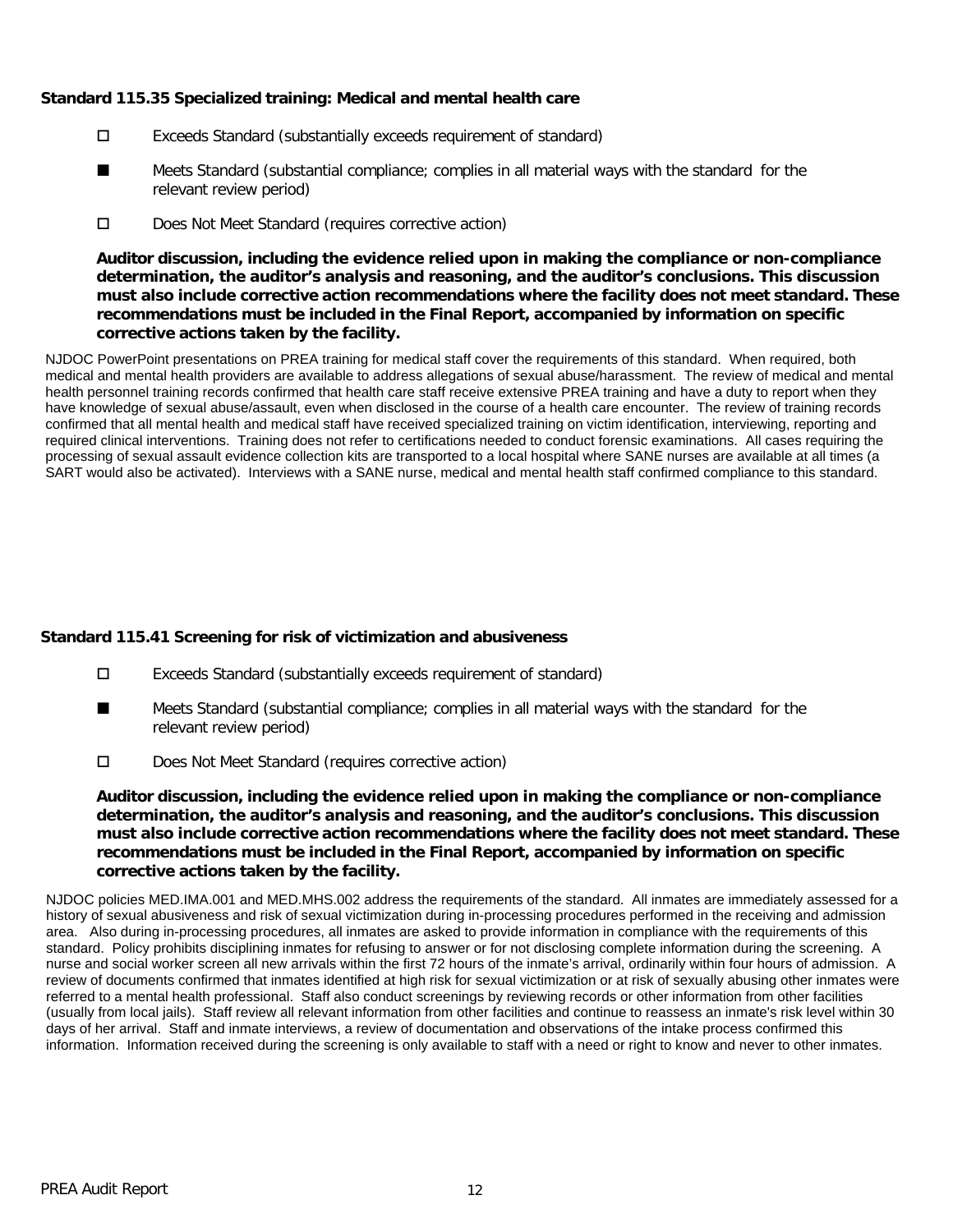### **Standard 115.35 Specialized training: Medical and mental health care**

- Exceeds Standard (substantially exceeds requirement of standard)
- Meets Standard (substantial compliance; complies in all material ways with the standard for the relevant review period) ■
- D Does Not Meet Standard (requires corrective action)

**Auditor discussion, including the evidence relied upon in making the compliance or non-compliance determination, the auditor's analysis and reasoning, and the auditor's conclusions. This discussion must also include corrective action recommendations where the facility does not meet standard. These recommendations must be included in the Final Report, accompanied by information on specific corrective actions taken by the facility.**

NJDOC PowerPoint presentations on PREA training for medical staff cover the requirements of this standard. When required, both medical and mental health providers are available to address allegations of sexual abuse/harassment. The review of medical and mental health personnel training records confirmed that health care staff receive extensive PREA training and have a duty to report when they have knowledge of sexual abuse/assault, even when disclosed in the course of a health care encounter. The review of training records confirmed that all mental health and medical staff have received specialized training on victim identification, interviewing, reporting and required clinical interventions. Training does not refer to certifications needed to conduct forensic examinations. All cases requiring the processing of sexual assault evidence collection kits are transported to a local hospital where SANE nurses are available at all times (a SART would also be activated). Interviews with a SANE nurse, medical and mental health staff confirmed compliance to this standard.

# **Standard 115.41 Screening for risk of victimization and abusiveness**

- Exceeds Standard (substantially exceeds requirement of standard)
- Meets Standard (substantial compliance; complies in all material ways with the standard for the relevant review period) ■
- Does Not Meet Standard (requires corrective action)

**Auditor discussion, including the evidence relied upon in making the compliance or non-compliance determination, the auditor's analysis and reasoning, and the auditor's conclusions. This discussion must also include corrective action recommendations where the facility does not meet standard. These recommendations must be included in the Final Report, accompanied by information on specific corrective actions taken by the facility.**

NJDOC policies MED.IMA.001 and MED.MHS.002 address the requirements of the standard. All inmates are immediately assessed for a history of sexual abusiveness and risk of sexual victimization during in-processing procedures performed in the receiving and admission area. Also during in-processing procedures, all inmates are asked to provide information in compliance with the requirements of this standard. Policy prohibits disciplining inmates for refusing to answer or for not disclosing complete information during the screening. A nurse and social worker screen all new arrivals within the first 72 hours of the inmate's arrival, ordinarily within four hours of admission. A review of documents confirmed that inmates identified at high risk for sexual victimization or at risk of sexually abusing other inmates were referred to a mental health professional. Staff also conduct screenings by reviewing records or other information from other facilities (usually from local jails). Staff review all relevant information from other facilities and continue to reassess an inmate's risk level within 30 days of her arrival. Staff and inmate interviews, a review of documentation and observations of the intake process confirmed this information. Information received during the screening is only available to staff with a need or right to know and never to other inmates.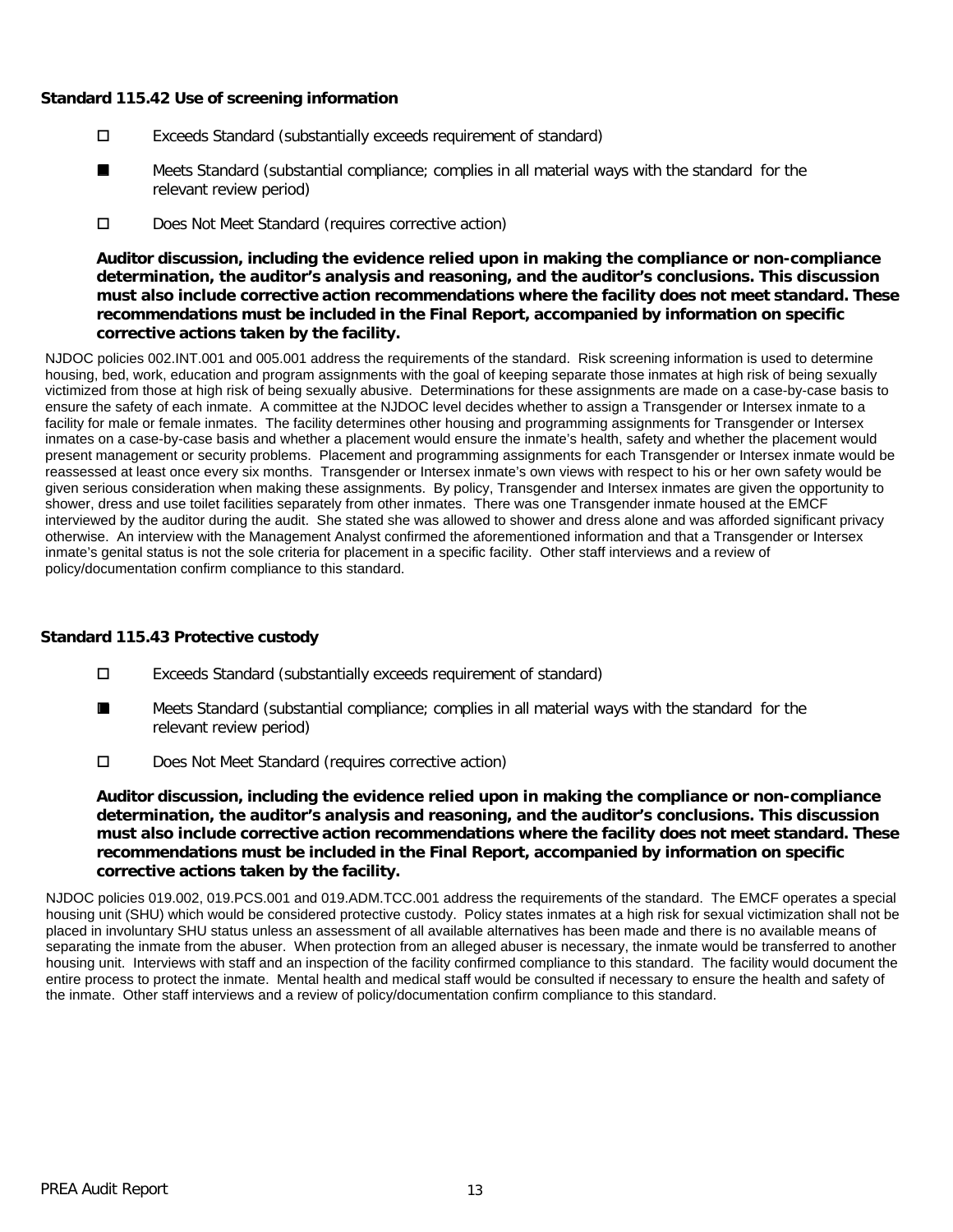#### **Standard 115.42 Use of screening information**

- Exceeds Standard (substantially exceeds requirement of standard)
- Meets Standard (substantial compliance; complies in all material ways with the standard for the relevant review period) ■
- D Does Not Meet Standard (requires corrective action)

**Auditor discussion, including the evidence relied upon in making the compliance or non-compliance determination, the auditor's analysis and reasoning, and the auditor's conclusions. This discussion must also include corrective action recommendations where the facility does not meet standard. These recommendations must be included in the Final Report, accompanied by information on specific corrective actions taken by the facility.**

NJDOC policies 002.INT.001 and 005.001 address the requirements of the standard. Risk screening information is used to determine housing, bed, work, education and program assignments with the goal of keeping separate those inmates at high risk of being sexually victimized from those at high risk of being sexually abusive. Determinations for these assignments are made on a case-by-case basis to ensure the safety of each inmate. A committee at the NJDOC level decides whether to assign a Transgender or Intersex inmate to a facility for male or female inmates. The facility determines other housing and programming assignments for Transgender or Intersex inmates on a case-by-case basis and whether a placement would ensure the inmate's health, safety and whether the placement would present management or security problems. Placement and programming assignments for each Transgender or Intersex inmate would be reassessed at least once every six months. Transgender or Intersex inmate's own views with respect to his or her own safety would be given serious consideration when making these assignments. By policy, Transgender and Intersex inmates are given the opportunity to shower, dress and use toilet facilities separately from other inmates. There was one Transgender inmate housed at the EMCF interviewed by the auditor during the audit. She stated she was allowed to shower and dress alone and was afforded significant privacy otherwise. An interview with the Management Analyst confirmed the aforementioned information and that a Transgender or Intersex inmate's genital status is not the sole criteria for placement in a specific facility. Other staff interviews and a review of policy/documentation confirm compliance to this standard.

#### **Standard 115.43 Protective custody**

- Exceeds Standard (substantially exceeds requirement of standard)
- Meets Standard (substantial compliance; complies in all material ways with the standard for the relevant review period) ■
- Does Not Meet Standard (requires corrective action)

**Auditor discussion, including the evidence relied upon in making the compliance or non-compliance determination, the auditor's analysis and reasoning, and the auditor's conclusions. This discussion must also include corrective action recommendations where the facility does not meet standard. These recommendations must be included in the Final Report, accompanied by information on specific corrective actions taken by the facility.**

NJDOC policies 019.002, 019.PCS.001 and 019.ADM.TCC.001 address the requirements of the standard. The EMCF operates a special housing unit (SHU) which would be considered protective custody. Policy states inmates at a high risk for sexual victimization shall not be placed in involuntary SHU status unless an assessment of all available alternatives has been made and there is no available means of separating the inmate from the abuser. When protection from an alleged abuser is necessary, the inmate would be transferred to another housing unit. Interviews with staff and an inspection of the facility confirmed compliance to this standard. The facility would document the entire process to protect the inmate. Mental health and medical staff would be consulted if necessary to ensure the health and safety of the inmate. Other staff interviews and a review of policy/documentation confirm compliance to this standard.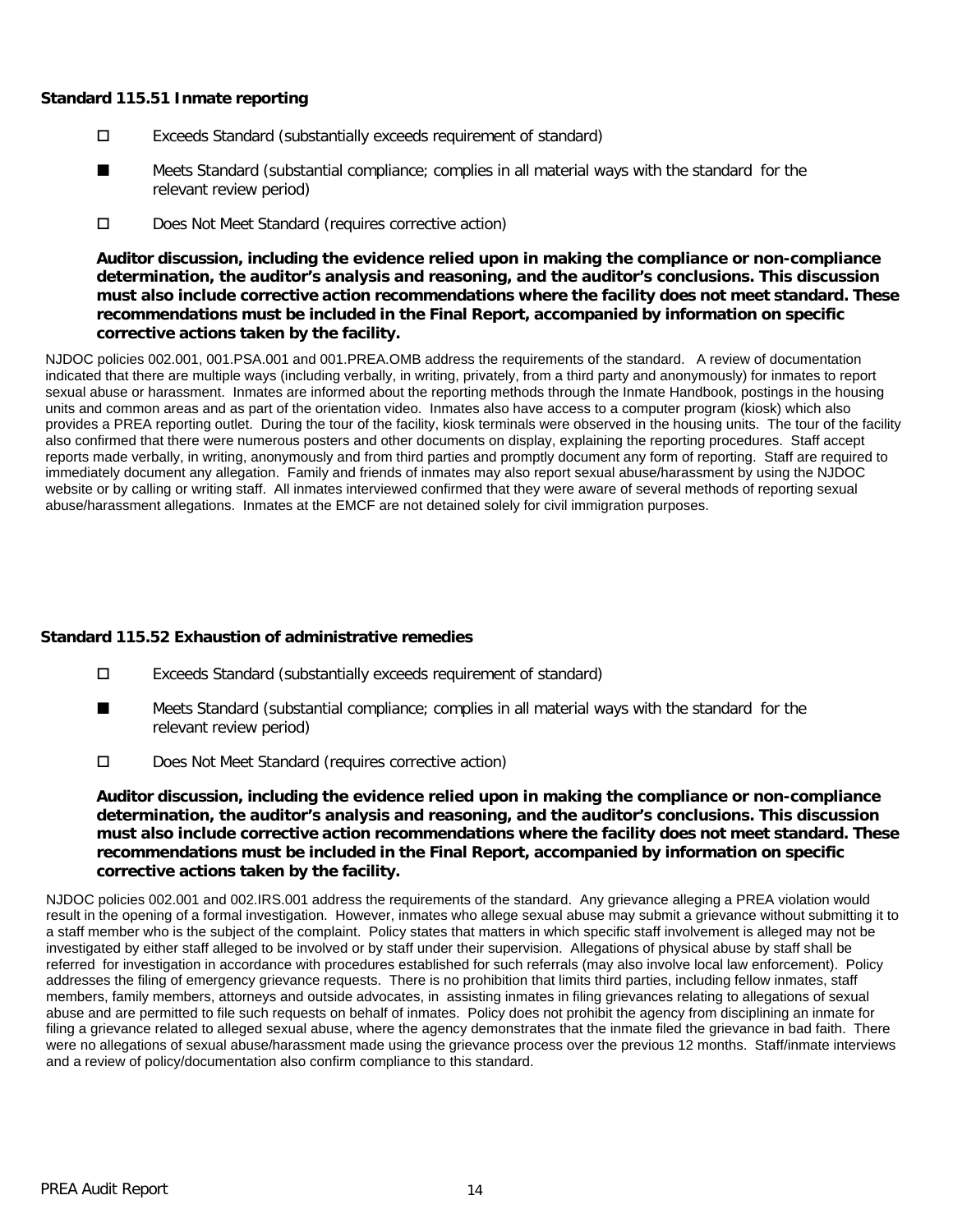#### **Standard 115.51 Inmate reporting**

- Exceeds Standard (substantially exceeds requirement of standard)
- Meets Standard (substantial compliance; complies in all material ways with the standard for the relevant review period) ■
- D Does Not Meet Standard (requires corrective action)

**Auditor discussion, including the evidence relied upon in making the compliance or non-compliance determination, the auditor's analysis and reasoning, and the auditor's conclusions. This discussion must also include corrective action recommendations where the facility does not meet standard. These recommendations must be included in the Final Report, accompanied by information on specific corrective actions taken by the facility.**

NJDOC policies 002.001, 001.PSA.001 and 001.PREA.OMB address the requirements of the standard. A review of documentation indicated that there are multiple ways (including verbally, in writing, privately, from a third party and anonymously) for inmates to report sexual abuse or harassment. Inmates are informed about the reporting methods through the Inmate Handbook, postings in the housing units and common areas and as part of the orientation video. Inmates also have access to a computer program (kiosk) which also provides a PREA reporting outlet. During the tour of the facility, kiosk terminals were observed in the housing units. The tour of the facility also confirmed that there were numerous posters and other documents on display, explaining the reporting procedures. Staff accept reports made verbally, in writing, anonymously and from third parties and promptly document any form of reporting. Staff are required to immediately document any allegation. Family and friends of inmates may also report sexual abuse/harassment by using the NJDOC website or by calling or writing staff. All inmates interviewed confirmed that they were aware of several methods of reporting sexual abuse/harassment allegations. Inmates at the EMCF are not detained solely for civil immigration purposes.

# **Standard 115.52 Exhaustion of administrative remedies**

- Exceeds Standard (substantially exceeds requirement of standard)
- Meets Standard (substantial compliance; complies in all material ways with the standard for the relevant review period) ■
- D Does Not Meet Standard (requires corrective action)

**Auditor discussion, including the evidence relied upon in making the compliance or non-compliance determination, the auditor's analysis and reasoning, and the auditor's conclusions. This discussion must also include corrective action recommendations where the facility does not meet standard. These recommendations must be included in the Final Report, accompanied by information on specific corrective actions taken by the facility.**

NJDOC policies 002.001 and 002.IRS.001 address the requirements of the standard. Any grievance alleging a PREA violation would result in the opening of a formal investigation. However, inmates who allege sexual abuse may submit a grievance without submitting it to a staff member who is the subject of the complaint. Policy states that matters in which specific staff involvement is alleged may not be investigated by either staff alleged to be involved or by staff under their supervision. Allegations of physical abuse by staff shall be referred for investigation in accordance with procedures established for such referrals (may also involve local law enforcement). Policy addresses the filing of emergency grievance requests. There is no prohibition that limits third parties, including fellow inmates, staff members, family members, attorneys and outside advocates, in assisting inmates in filing grievances relating to allegations of sexual abuse and are permitted to file such requests on behalf of inmates. Policy does not prohibit the agency from disciplining an inmate for filing a grievance related to alleged sexual abuse, where the agency demonstrates that the inmate filed the grievance in bad faith. There were no allegations of sexual abuse/harassment made using the grievance process over the previous 12 months. Staff/inmate interviews and a review of policy/documentation also confirm compliance to this standard.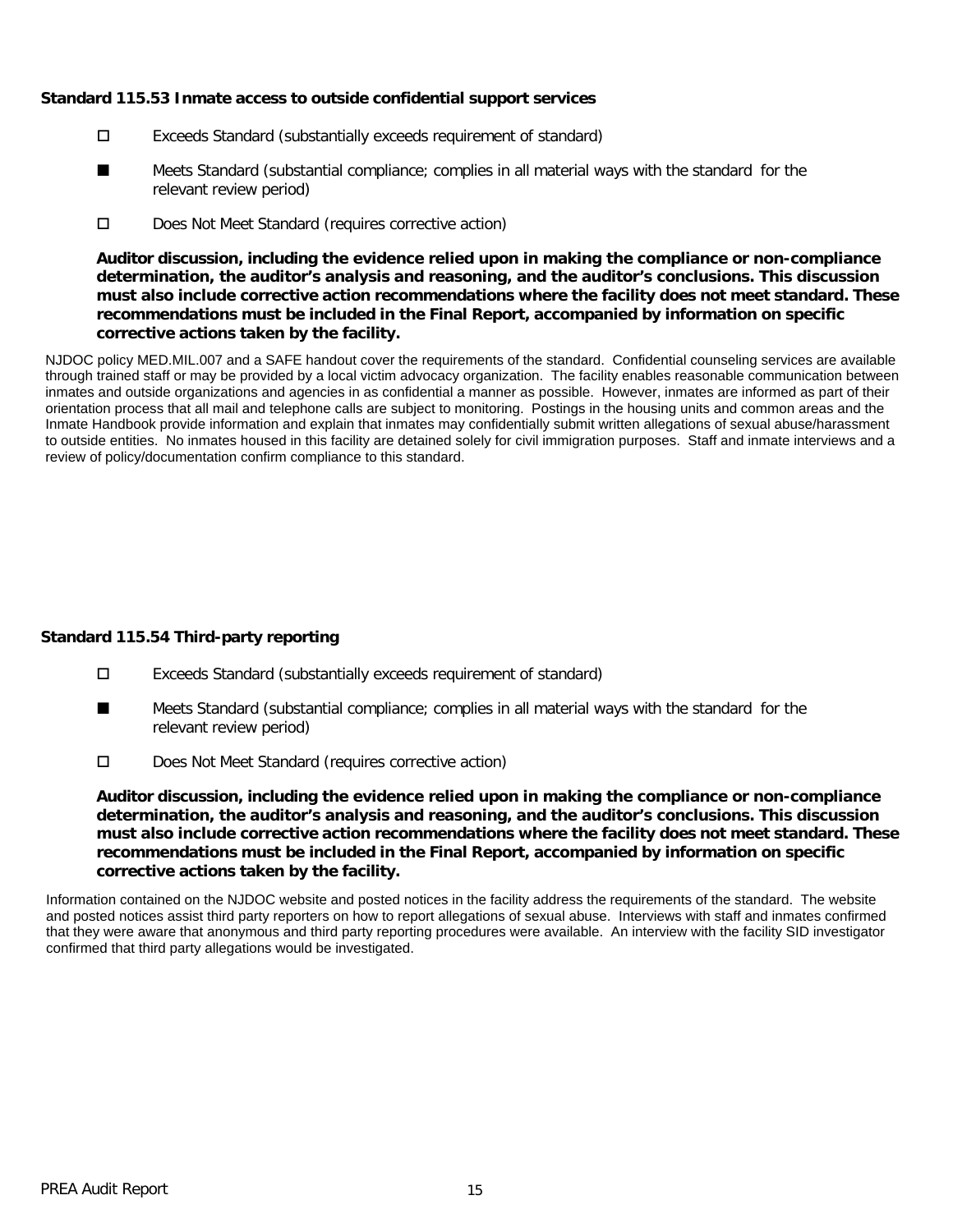#### **Standard 115.53 Inmate access to outside confidential support services**

- Exceeds Standard (substantially exceeds requirement of standard)
- Meets Standard (substantial compliance; complies in all material ways with the standard for the relevant review period) ■
- D Does Not Meet Standard (requires corrective action)

**Auditor discussion, including the evidence relied upon in making the compliance or non-compliance determination, the auditor's analysis and reasoning, and the auditor's conclusions. This discussion must also include corrective action recommendations where the facility does not meet standard. These recommendations must be included in the Final Report, accompanied by information on specific corrective actions taken by the facility.**

NJDOC policy MED.MIL.007 and a SAFE handout cover the requirements of the standard. Confidential counseling services are available through trained staff or may be provided by a local victim advocacy organization. The facility enables reasonable communication between inmates and outside organizations and agencies in as confidential a manner as possible. However, inmates are informed as part of their orientation process that all mail and telephone calls are subject to monitoring. Postings in the housing units and common areas and the Inmate Handbook provide information and explain that inmates may confidentially submit written allegations of sexual abuse/harassment to outside entities. No inmates housed in this facility are detained solely for civil immigration purposes. Staff and inmate interviews and a review of policy/documentation confirm compliance to this standard.

# **Standard 115.54 Third-party reporting**

- Exceeds Standard (substantially exceeds requirement of standard)
- Meets Standard (substantial compliance; complies in all material ways with the standard for the relevant review period) ■
- Does Not Meet Standard (requires corrective action)

**Auditor discussion, including the evidence relied upon in making the compliance or non-compliance determination, the auditor's analysis and reasoning, and the auditor's conclusions. This discussion must also include corrective action recommendations where the facility does not meet standard. These recommendations must be included in the Final Report, accompanied by information on specific corrective actions taken by the facility.**

Information contained on the NJDOC website and posted notices in the facility address the requirements of the standard. The website and posted notices assist third party reporters on how to report allegations of sexual abuse. Interviews with staff and inmates confirmed that they were aware that anonymous and third party reporting procedures were available. An interview with the facility SID investigator confirmed that third party allegations would be investigated.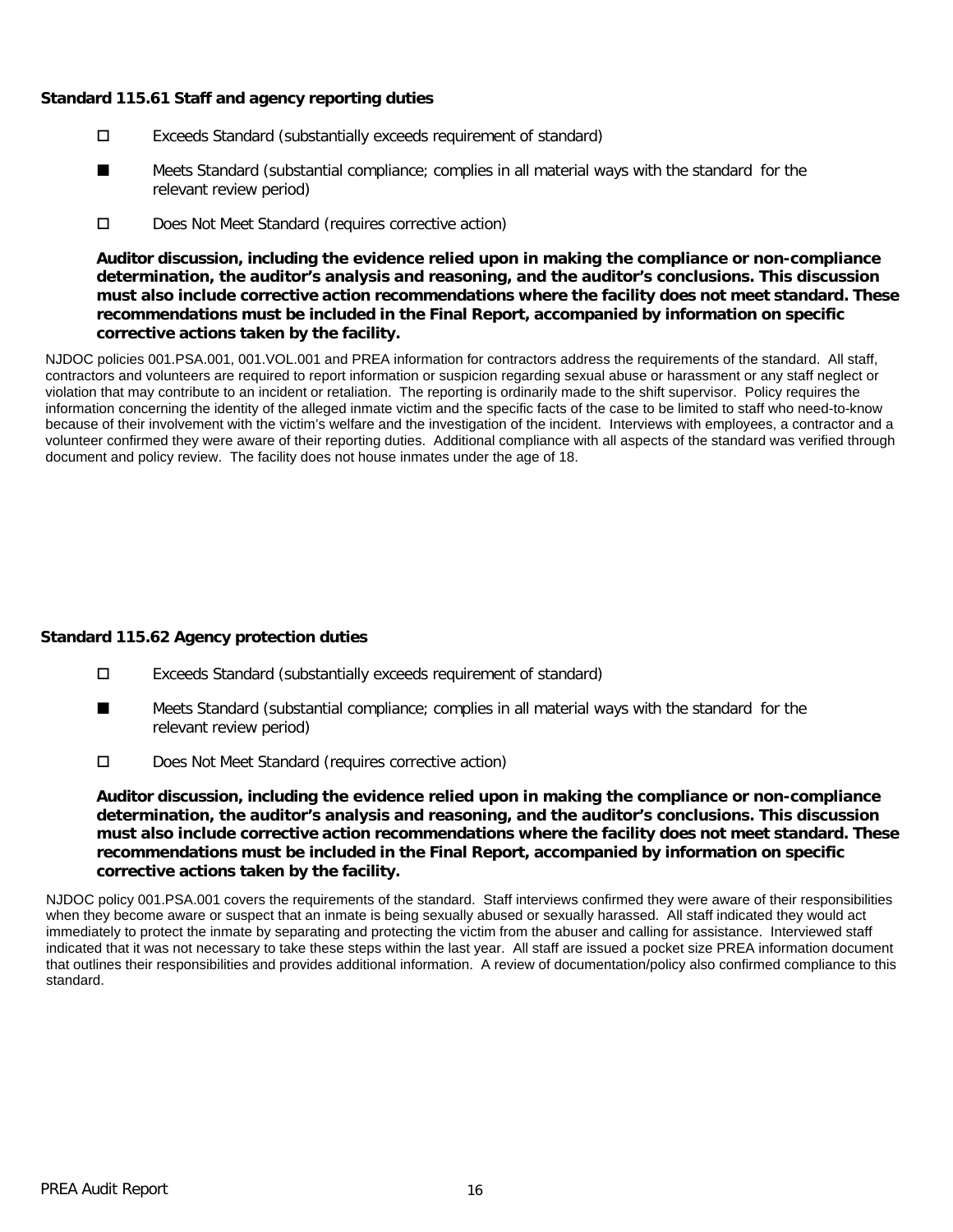### **Standard 115.61 Staff and agency reporting duties**

- Exceeds Standard (substantially exceeds requirement of standard)
- Meets Standard (substantial compliance; complies in all material ways with the standard for the relevant review period) ■
- D Does Not Meet Standard (requires corrective action)

**Auditor discussion, including the evidence relied upon in making the compliance or non-compliance determination, the auditor's analysis and reasoning, and the auditor's conclusions. This discussion must also include corrective action recommendations where the facility does not meet standard. These recommendations must be included in the Final Report, accompanied by information on specific corrective actions taken by the facility.**

NJDOC policies 001.PSA.001, 001.VOL.001 and PREA information for contractors address the requirements of the standard. All staff, contractors and volunteers are required to report information or suspicion regarding sexual abuse or harassment or any staff neglect or violation that may contribute to an incident or retaliation. The reporting is ordinarily made to the shift supervisor. Policy requires the information concerning the identity of the alleged inmate victim and the specific facts of the case to be limited to staff who need-to-know because of their involvement with the victim's welfare and the investigation of the incident. Interviews with employees, a contractor and a volunteer confirmed they were aware of their reporting duties. Additional compliance with all aspects of the standard was verified through document and policy review. The facility does not house inmates under the age of 18.

# **Standard 115.62 Agency protection duties**

- Exceeds Standard (substantially exceeds requirement of standard)
- Meets Standard (substantial compliance; complies in all material ways with the standard for the relevant review period) ■
- Does Not Meet Standard (requires corrective action)

**Auditor discussion, including the evidence relied upon in making the compliance or non-compliance determination, the auditor's analysis and reasoning, and the auditor's conclusions. This discussion must also include corrective action recommendations where the facility does not meet standard. These recommendations must be included in the Final Report, accompanied by information on specific corrective actions taken by the facility.**

NJDOC policy 001.PSA.001 covers the requirements of the standard. Staff interviews confirmed they were aware of their responsibilities when they become aware or suspect that an inmate is being sexually abused or sexually harassed. All staff indicated they would act immediately to protect the inmate by separating and protecting the victim from the abuser and calling for assistance. Interviewed staff indicated that it was not necessary to take these steps within the last year. All staff are issued a pocket size PREA information document that outlines their responsibilities and provides additional information. A review of documentation/policy also confirmed compliance to this standard.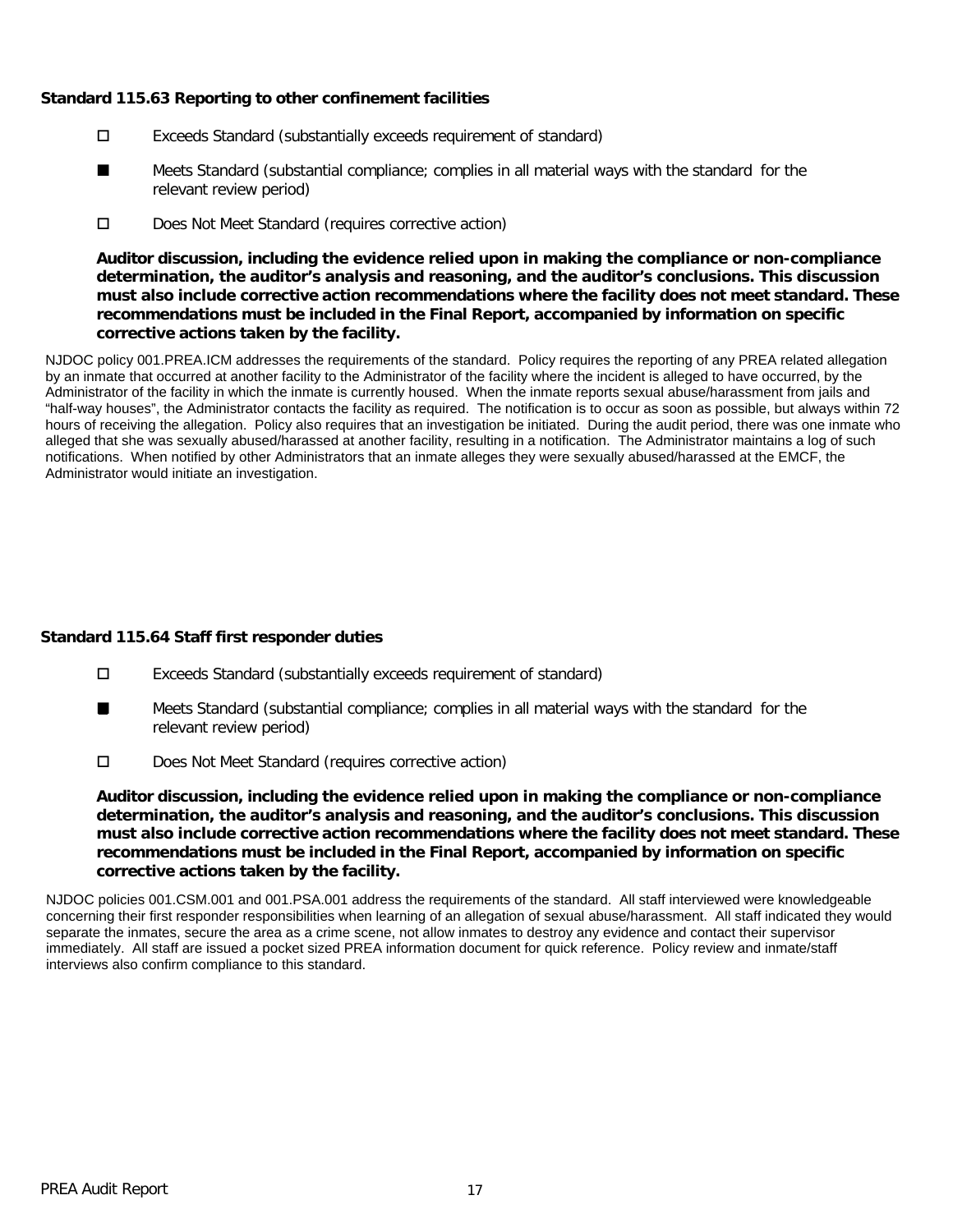# **Standard 115.63 Reporting to other confinement facilities**

- Exceeds Standard (substantially exceeds requirement of standard)
- Meets Standard (substantial compliance; complies in all material ways with the standard for the relevant review period) ■
- D Does Not Meet Standard (requires corrective action)

**Auditor discussion, including the evidence relied upon in making the compliance or non-compliance determination, the auditor's analysis and reasoning, and the auditor's conclusions. This discussion must also include corrective action recommendations where the facility does not meet standard. These recommendations must be included in the Final Report, accompanied by information on specific corrective actions taken by the facility.**

NJDOC policy 001.PREA.ICM addresses the requirements of the standard. Policy requires the reporting of any PREA related allegation by an inmate that occurred at another facility to the Administrator of the facility where the incident is alleged to have occurred, by the Administrator of the facility in which the inmate is currently housed. When the inmate reports sexual abuse/harassment from jails and "half-way houses", the Administrator contacts the facility as required. The notification is to occur as soon as possible, but always within 72 hours of receiving the allegation. Policy also requires that an investigation be initiated. During the audit period, there was one inmate who alleged that she was sexually abused/harassed at another facility, resulting in a notification. The Administrator maintains a log of such notifications. When notified by other Administrators that an inmate alleges they were sexually abused/harassed at the EMCF, the Administrator would initiate an investigation.

# **Standard 115.64 Staff first responder duties**

- Exceeds Standard (substantially exceeds requirement of standard)
- Meets Standard (substantial compliance; complies in all material ways with the standard for the relevant review period) ■
- Does Not Meet Standard (requires corrective action)

**Auditor discussion, including the evidence relied upon in making the compliance or non-compliance determination, the auditor's analysis and reasoning, and the auditor's conclusions. This discussion must also include corrective action recommendations where the facility does not meet standard. These recommendations must be included in the Final Report, accompanied by information on specific corrective actions taken by the facility.**

NJDOC policies 001.CSM.001 and 001.PSA.001 address the requirements of the standard. All staff interviewed were knowledgeable concerning their first responder responsibilities when learning of an allegation of sexual abuse/harassment. All staff indicated they would separate the inmates, secure the area as a crime scene, not allow inmates to destroy any evidence and contact their supervisor immediately. All staff are issued a pocket sized PREA information document for quick reference. Policy review and inmate/staff interviews also confirm compliance to this standard.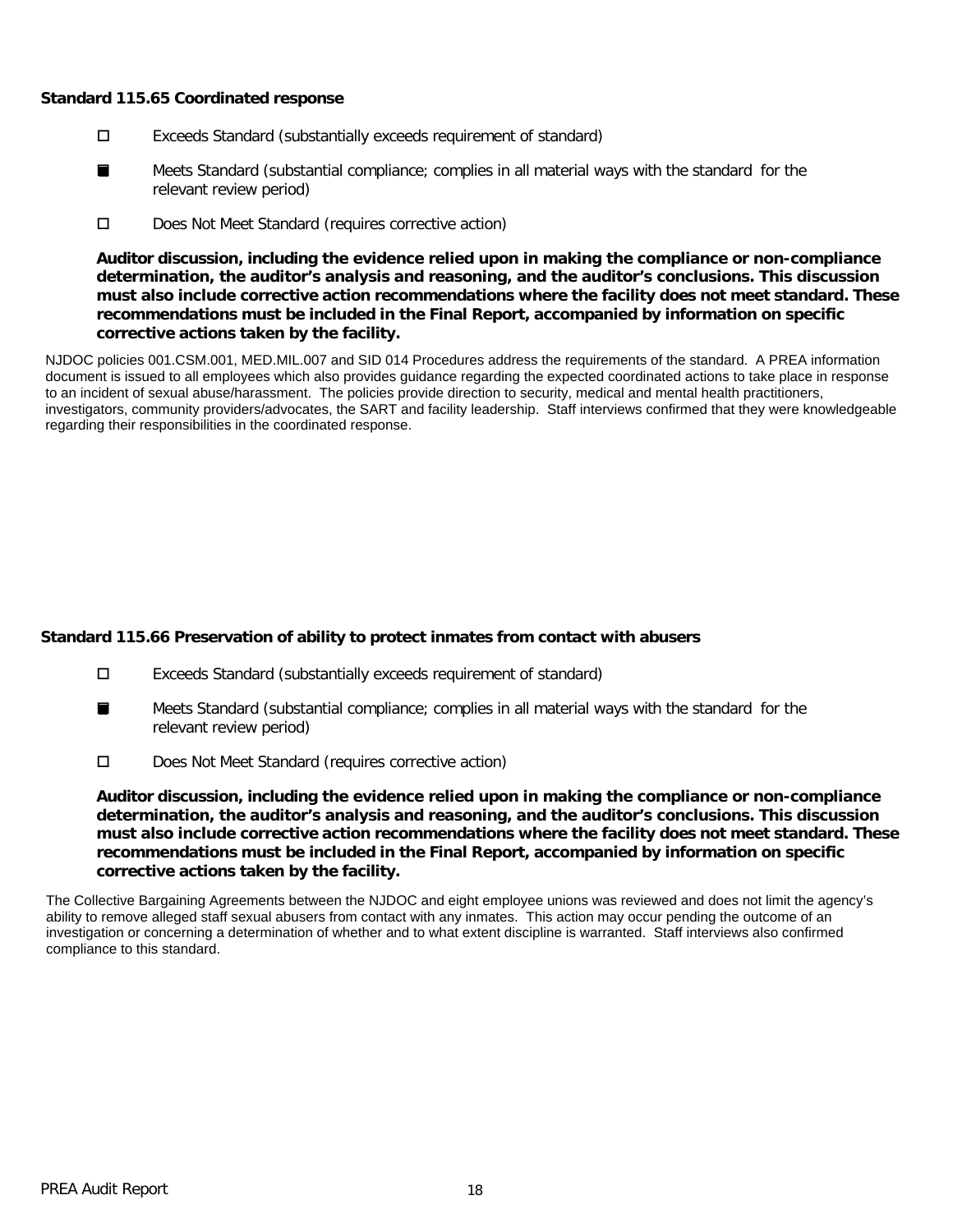#### **Standard 115.65 Coordinated response**

- Exceeds Standard (substantially exceeds requirement of standard)
- Meets Standard (substantial compliance; complies in all material ways with the standard for the relevant review period) ■
- D Does Not Meet Standard (requires corrective action)

**Auditor discussion, including the evidence relied upon in making the compliance or non-compliance determination, the auditor's analysis and reasoning, and the auditor's conclusions. This discussion must also include corrective action recommendations where the facility does not meet standard. These recommendations must be included in the Final Report, accompanied by information on specific corrective actions taken by the facility.**

NJDOC policies 001.CSM.001, MED.MIL.007 and SID 014 Procedures address the requirements of the standard. A PREA information document is issued to all employees which also provides guidance regarding the expected coordinated actions to take place in response to an incident of sexual abuse/harassment. The policies provide direction to security, medical and mental health practitioners, investigators, community providers/advocates, the SART and facility leadership. Staff interviews confirmed that they were knowledgeable regarding their responsibilities in the coordinated response.

# **Standard 115.66 Preservation of ability to protect inmates from contact with abusers**

- Exceeds Standard (substantially exceeds requirement of standard)
- Meets Standard (substantial compliance; complies in all material ways with the standard for the relevant review period) ■
- Does Not Meet Standard (requires corrective action)

**Auditor discussion, including the evidence relied upon in making the compliance or non-compliance determination, the auditor's analysis and reasoning, and the auditor's conclusions. This discussion must also include corrective action recommendations where the facility does not meet standard. These recommendations must be included in the Final Report, accompanied by information on specific corrective actions taken by the facility.**

The Collective Bargaining Agreements between the NJDOC and eight employee unions was reviewed and does not limit the agency's ability to remove alleged staff sexual abusers from contact with any inmates. This action may occur pending the outcome of an investigation or concerning a determination of whether and to what extent discipline is warranted. Staff interviews also confirmed compliance to this standard.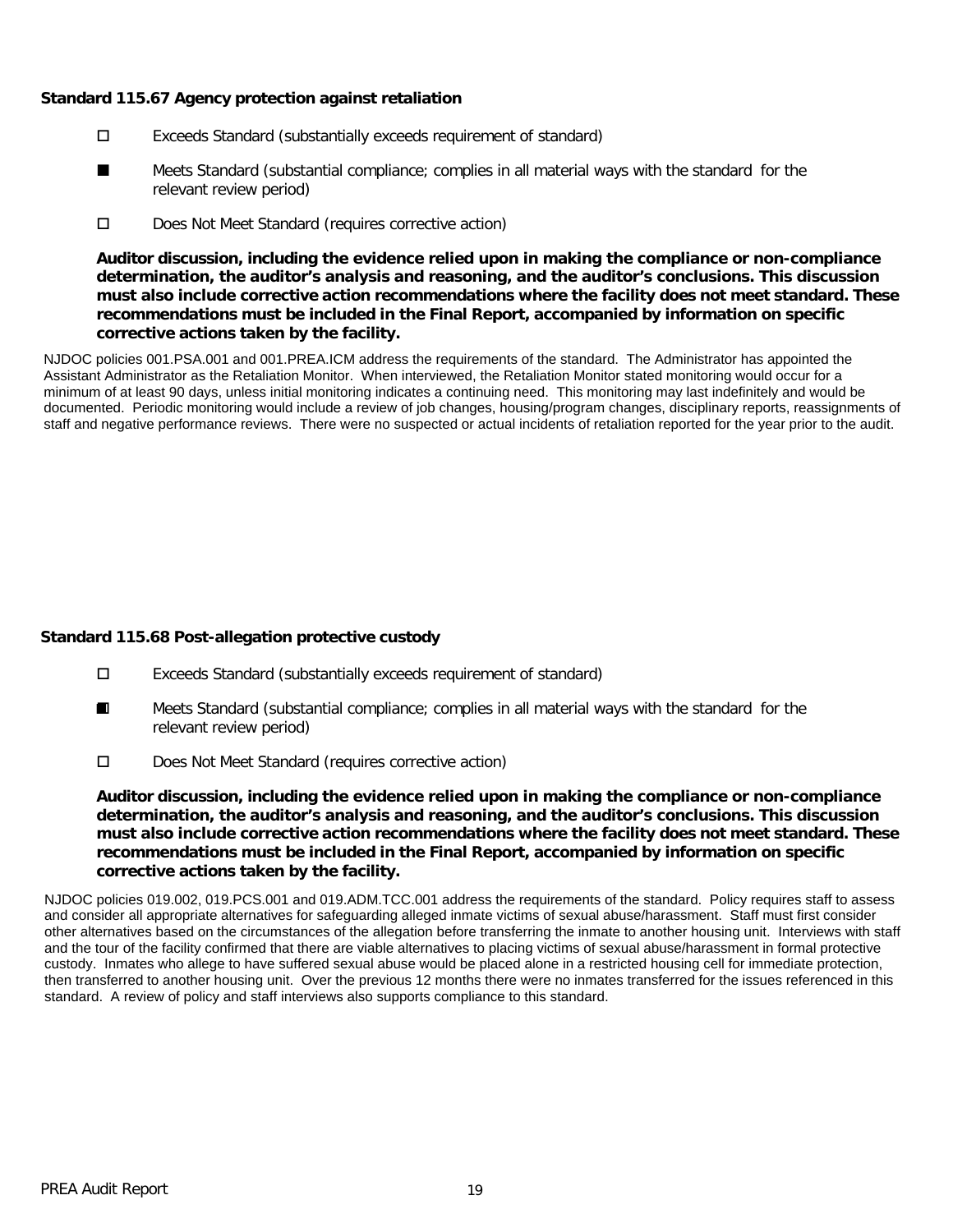### **Standard 115.67 Agency protection against retaliation**

- Exceeds Standard (substantially exceeds requirement of standard)
- Meets Standard (substantial compliance; complies in all material ways with the standard for the relevant review period) ■
- D Does Not Meet Standard (requires corrective action)

**Auditor discussion, including the evidence relied upon in making the compliance or non-compliance determination, the auditor's analysis and reasoning, and the auditor's conclusions. This discussion must also include corrective action recommendations where the facility does not meet standard. These recommendations must be included in the Final Report, accompanied by information on specific corrective actions taken by the facility.**

NJDOC policies 001.PSA.001 and 001.PREA.ICM address the requirements of the standard. The Administrator has appointed the Assistant Administrator as the Retaliation Monitor. When interviewed, the Retaliation Monitor stated monitoring would occur for a minimum of at least 90 days, unless initial monitoring indicates a continuing need. This monitoring may last indefinitely and would be documented. Periodic monitoring would include a review of job changes, housing/program changes, disciplinary reports, reassignments of staff and negative performance reviews. There were no suspected or actual incidents of retaliation reported for the year prior to the audit.

# **Standard 115.68 Post-allegation protective custody**

- Exceeds Standard (substantially exceeds requirement of standard)
- Meets Standard (substantial compliance; complies in all material ways with the standard for the relevant review period) ■
- Does Not Meet Standard (requires corrective action)

**Auditor discussion, including the evidence relied upon in making the compliance or non-compliance determination, the auditor's analysis and reasoning, and the auditor's conclusions. This discussion must also include corrective action recommendations where the facility does not meet standard. These recommendations must be included in the Final Report, accompanied by information on specific corrective actions taken by the facility.**

NJDOC policies 019.002, 019.PCS.001 and 019.ADM.TCC.001 address the requirements of the standard. Policy requires staff to assess and consider all appropriate alternatives for safeguarding alleged inmate victims of sexual abuse/harassment. Staff must first consider other alternatives based on the circumstances of the allegation before transferring the inmate to another housing unit. Interviews with staff and the tour of the facility confirmed that there are viable alternatives to placing victims of sexual abuse/harassment in formal protective custody. Inmates who allege to have suffered sexual abuse would be placed alone in a restricted housing cell for immediate protection, then transferred to another housing unit. Over the previous 12 months there were no inmates transferred for the issues referenced in this standard. A review of policy and staff interviews also supports compliance to this standard.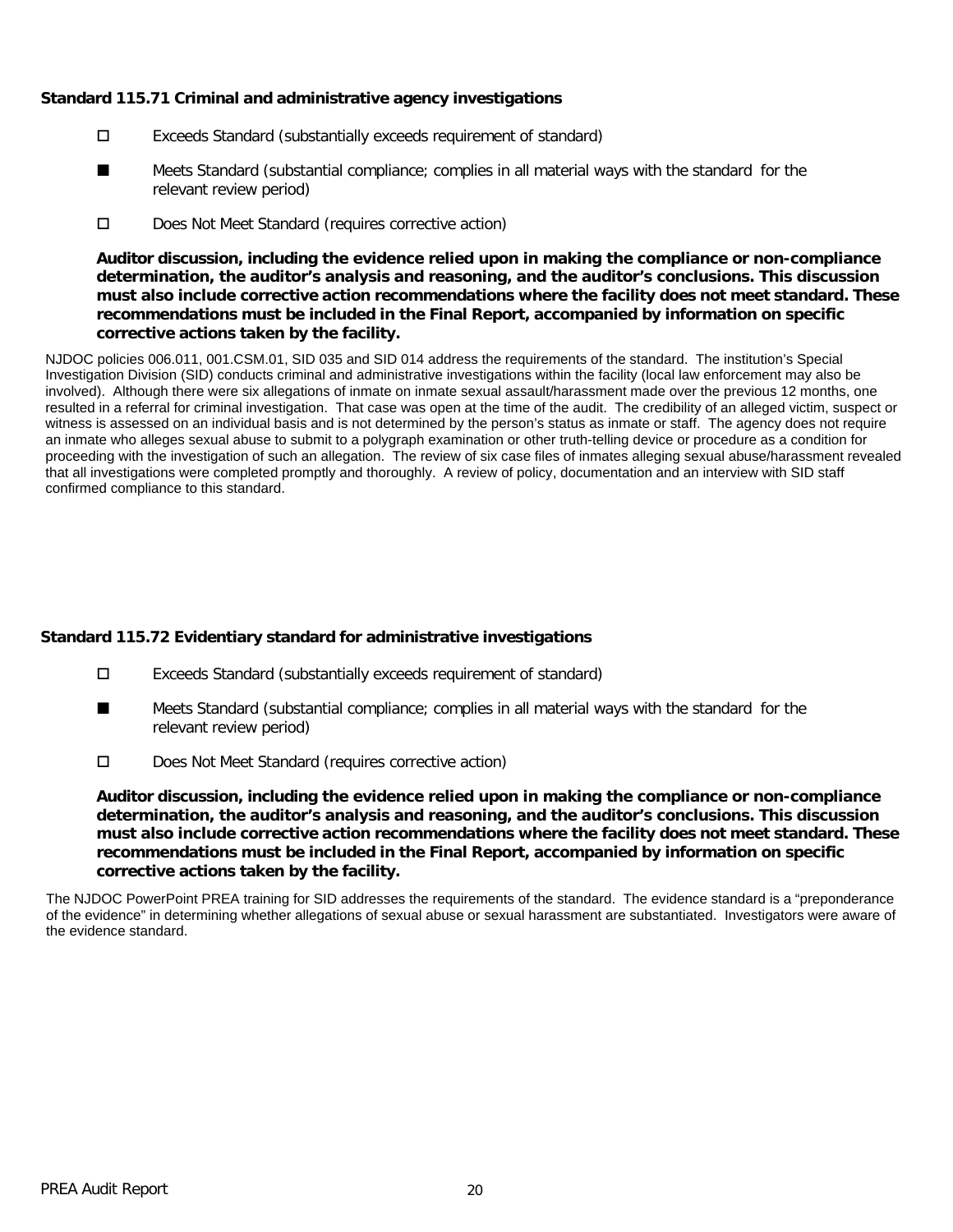### **Standard 115.71 Criminal and administrative agency investigations**

- Exceeds Standard (substantially exceeds requirement of standard)
- Meets Standard (substantial compliance; complies in all material ways with the standard for the relevant review period) ■
- D Does Not Meet Standard (requires corrective action)

**Auditor discussion, including the evidence relied upon in making the compliance or non-compliance determination, the auditor's analysis and reasoning, and the auditor's conclusions. This discussion must also include corrective action recommendations where the facility does not meet standard. These recommendations must be included in the Final Report, accompanied by information on specific corrective actions taken by the facility.**

NJDOC policies 006.011, 001.CSM.01, SID 035 and SID 014 address the requirements of the standard. The institution's Special Investigation Division (SID) conducts criminal and administrative investigations within the facility (local law enforcement may also be involved). Although there were six allegations of inmate on inmate sexual assault/harassment made over the previous 12 months, one resulted in a referral for criminal investigation. That case was open at the time of the audit. The credibility of an alleged victim, suspect or witness is assessed on an individual basis and is not determined by the person's status as inmate or staff. The agency does not require an inmate who alleges sexual abuse to submit to a polygraph examination or other truth-telling device or procedure as a condition for proceeding with the investigation of such an allegation. The review of six case files of inmates alleging sexual abuse/harassment revealed that all investigations were completed promptly and thoroughly. A review of policy, documentation and an interview with SID staff confirmed compliance to this standard.

# **Standard 115.72 Evidentiary standard for administrative investigations**

- Exceeds Standard (substantially exceeds requirement of standard)
- Meets Standard (substantial compliance; complies in all material ways with the standard for the relevant review period) ■
- Does Not Meet Standard (requires corrective action)

**Auditor discussion, including the evidence relied upon in making the compliance or non-compliance determination, the auditor's analysis and reasoning, and the auditor's conclusions. This discussion must also include corrective action recommendations where the facility does not meet standard. These recommendations must be included in the Final Report, accompanied by information on specific corrective actions taken by the facility.**

The NJDOC PowerPoint PREA training for SID addresses the requirements of the standard. The evidence standard is a "preponderance of the evidence" in determining whether allegations of sexual abuse or sexual harassment are substantiated. Investigators were aware of the evidence standard.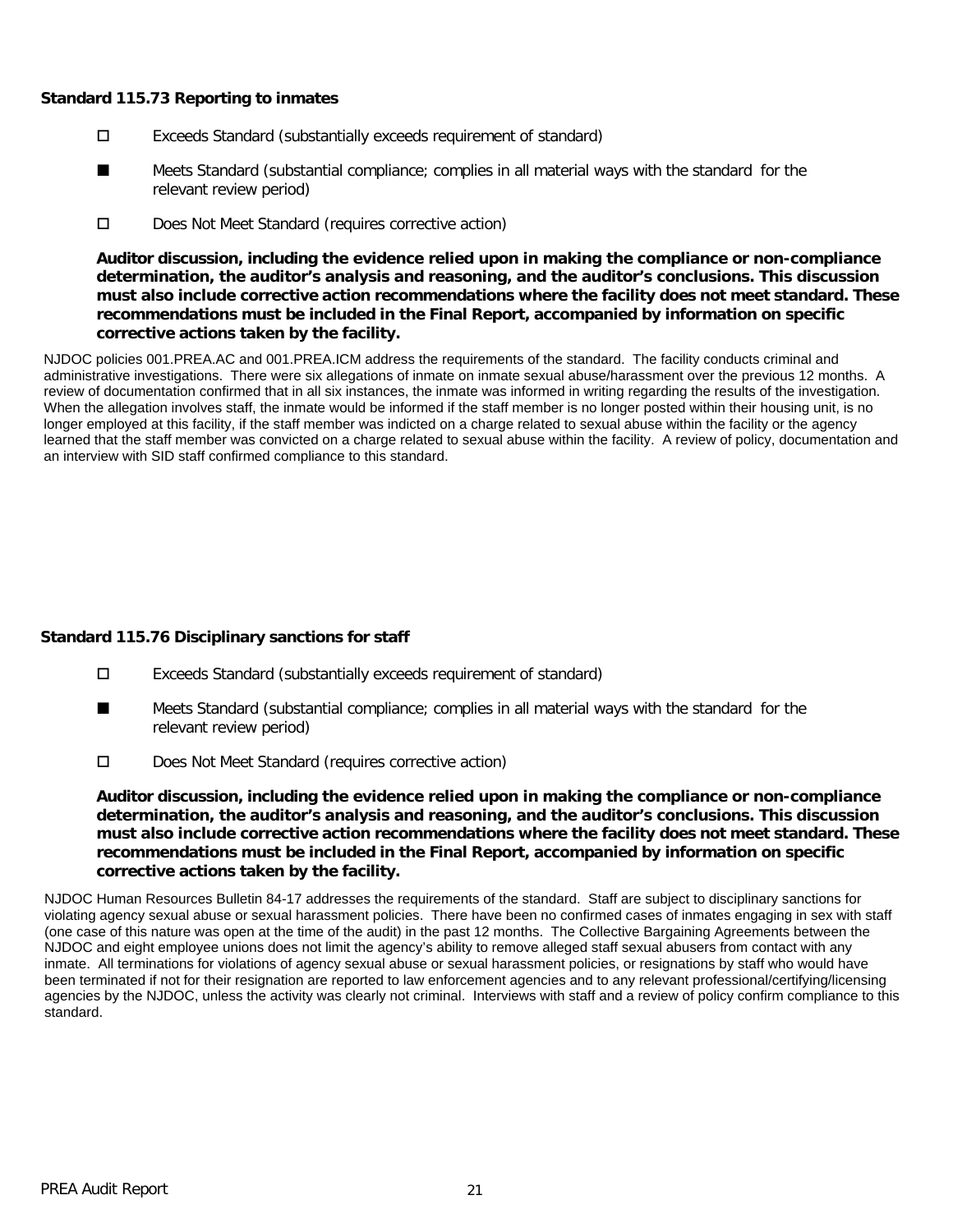### **Standard 115.73 Reporting to inmates**

- Exceeds Standard (substantially exceeds requirement of standard)
- Meets Standard (substantial compliance; complies in all material ways with the standard for the relevant review period) ■
- D Does Not Meet Standard (requires corrective action)

**Auditor discussion, including the evidence relied upon in making the compliance or non-compliance determination, the auditor's analysis and reasoning, and the auditor's conclusions. This discussion must also include corrective action recommendations where the facility does not meet standard. These recommendations must be included in the Final Report, accompanied by information on specific corrective actions taken by the facility.**

NJDOC policies 001.PREA.AC and 001.PREA.ICM address the requirements of the standard. The facility conducts criminal and administrative investigations. There were six allegations of inmate on inmate sexual abuse/harassment over the previous 12 months. A review of documentation confirmed that in all six instances, the inmate was informed in writing regarding the results of the investigation. When the allegation involves staff, the inmate would be informed if the staff member is no longer posted within their housing unit, is no longer employed at this facility, if the staff member was indicted on a charge related to sexual abuse within the facility or the agency learned that the staff member was convicted on a charge related to sexual abuse within the facility. A review of policy, documentation and an interview with SID staff confirmed compliance to this standard.

# **Standard 115.76 Disciplinary sanctions for staff**

- Exceeds Standard (substantially exceeds requirement of standard)
- Meets Standard (substantial compliance; complies in all material ways with the standard for the relevant review period) ■
- D Does Not Meet Standard (requires corrective action)

**Auditor discussion, including the evidence relied upon in making the compliance or non-compliance determination, the auditor's analysis and reasoning, and the auditor's conclusions. This discussion must also include corrective action recommendations where the facility does not meet standard. These recommendations must be included in the Final Report, accompanied by information on specific corrective actions taken by the facility.**

NJDOC Human Resources Bulletin 84-17 addresses the requirements of the standard. Staff are subject to disciplinary sanctions for violating agency sexual abuse or sexual harassment policies. There have been no confirmed cases of inmates engaging in sex with staff (one case of this nature was open at the time of the audit) in the past 12 months. The Collective Bargaining Agreements between the NJDOC and eight employee unions does not limit the agency's ability to remove alleged staff sexual abusers from contact with any inmate. All terminations for violations of agency sexual abuse or sexual harassment policies, or resignations by staff who would have been terminated if not for their resignation are reported to law enforcement agencies and to any relevant professional/certifying/licensing agencies by the NJDOC, unless the activity was clearly not criminal. Interviews with staff and a review of policy confirm compliance to this standard.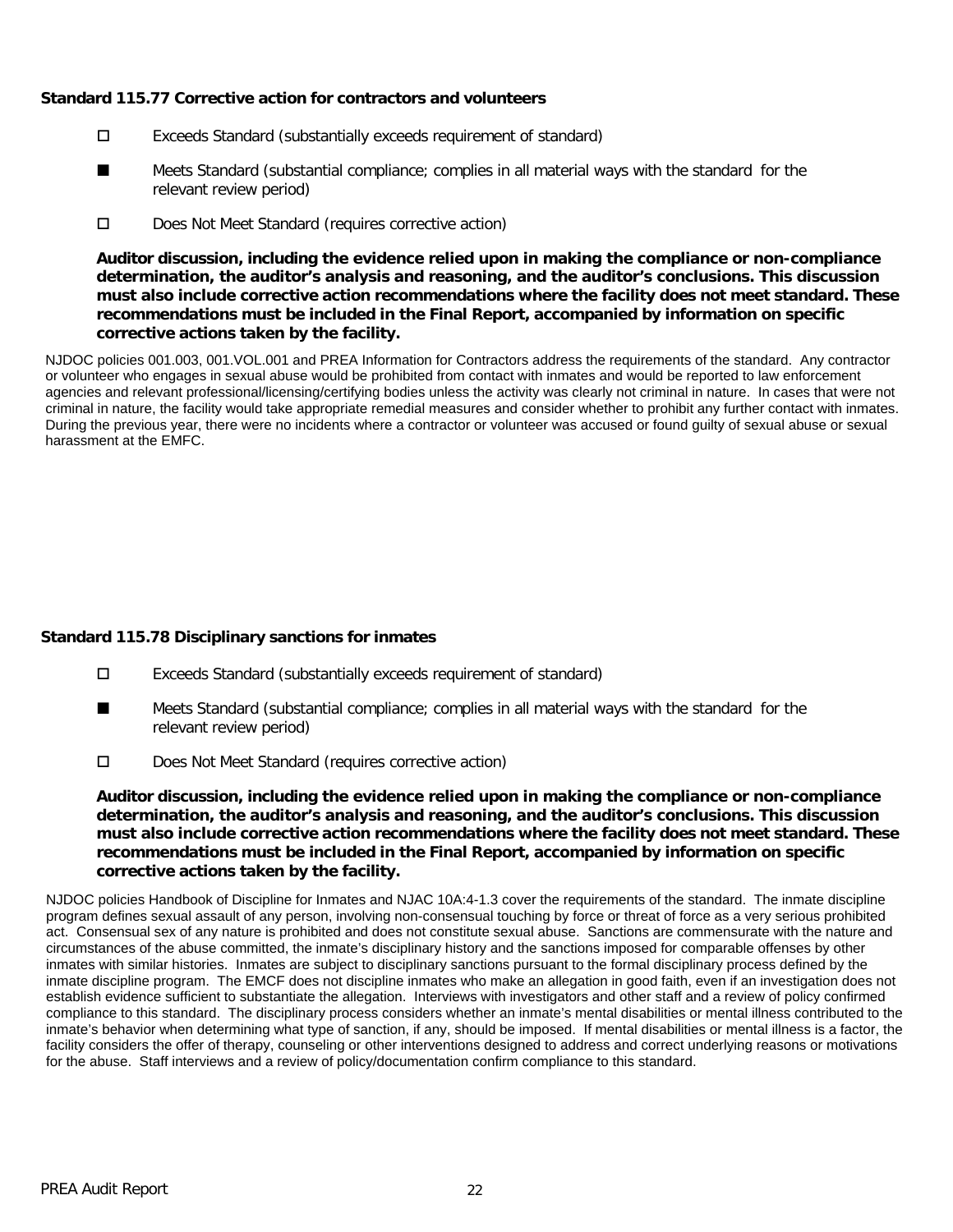### **Standard 115.77 Corrective action for contractors and volunteers**

- Exceeds Standard (substantially exceeds requirement of standard)
- Meets Standard (substantial compliance; complies in all material ways with the standard for the relevant review period) ■
- D Does Not Meet Standard (requires corrective action)

**Auditor discussion, including the evidence relied upon in making the compliance or non-compliance determination, the auditor's analysis and reasoning, and the auditor's conclusions. This discussion must also include corrective action recommendations where the facility does not meet standard. These recommendations must be included in the Final Report, accompanied by information on specific corrective actions taken by the facility.**

NJDOC policies 001.003, 001.VOL.001 and PREA Information for Contractors address the requirements of the standard. Any contractor or volunteer who engages in sexual abuse would be prohibited from contact with inmates and would be reported to law enforcement agencies and relevant professional/licensing/certifying bodies unless the activity was clearly not criminal in nature. In cases that were not criminal in nature, the facility would take appropriate remedial measures and consider whether to prohibit any further contact with inmates. During the previous year, there were no incidents where a contractor or volunteer was accused or found guilty of sexual abuse or sexual harassment at the EMFC.

# **Standard 115.78 Disciplinary sanctions for inmates**

- Exceeds Standard (substantially exceeds requirement of standard)
- Meets Standard (substantial compliance; complies in all material ways with the standard for the relevant review period) ■
- Does Not Meet Standard (requires corrective action)

**Auditor discussion, including the evidence relied upon in making the compliance or non-compliance determination, the auditor's analysis and reasoning, and the auditor's conclusions. This discussion must also include corrective action recommendations where the facility does not meet standard. These recommendations must be included in the Final Report, accompanied by information on specific corrective actions taken by the facility.**

NJDOC policies Handbook of Discipline for Inmates and NJAC 10A:4-1.3 cover the requirements of the standard. The inmate discipline program defines sexual assault of any person, involving non-consensual touching by force or threat of force as a very serious prohibited act. Consensual sex of any nature is prohibited and does not constitute sexual abuse. Sanctions are commensurate with the nature and circumstances of the abuse committed, the inmate's disciplinary history and the sanctions imposed for comparable offenses by other inmates with similar histories. Inmates are subject to disciplinary sanctions pursuant to the formal disciplinary process defined by the inmate discipline program. The EMCF does not discipline inmates who make an allegation in good faith, even if an investigation does not establish evidence sufficient to substantiate the allegation. Interviews with investigators and other staff and a review of policy confirmed compliance to this standard. The disciplinary process considers whether an inmate's mental disabilities or mental illness contributed to the inmate's behavior when determining what type of sanction, if any, should be imposed. If mental disabilities or mental illness is a factor, the facility considers the offer of therapy, counseling or other interventions designed to address and correct underlying reasons or motivations for the abuse. Staff interviews and a review of policy/documentation confirm compliance to this standard.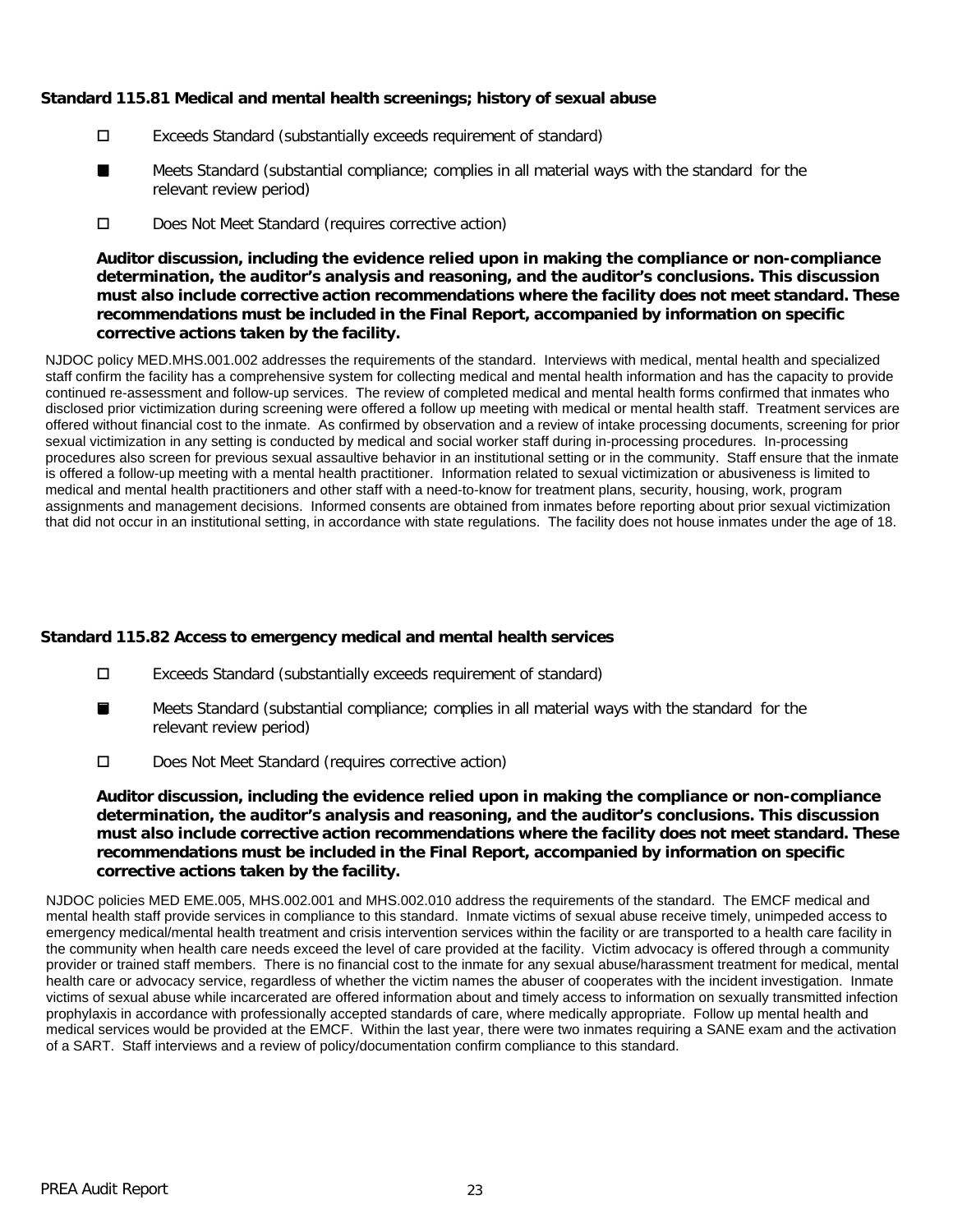### **Standard 115.81 Medical and mental health screenings; history of sexual abuse**

- Exceeds Standard (substantially exceeds requirement of standard)
- Meets Standard (substantial compliance; complies in all material ways with the standard for the relevant review period) ■
- D Does Not Meet Standard (requires corrective action)

**Auditor discussion, including the evidence relied upon in making the compliance or non-compliance determination, the auditor's analysis and reasoning, and the auditor's conclusions. This discussion must also include corrective action recommendations where the facility does not meet standard. These recommendations must be included in the Final Report, accompanied by information on specific corrective actions taken by the facility.**

NJDOC policy MED.MHS.001.002 addresses the requirements of the standard. Interviews with medical, mental health and specialized staff confirm the facility has a comprehensive system for collecting medical and mental health information and has the capacity to provide continued re-assessment and follow-up services. The review of completed medical and mental health forms confirmed that inmates who disclosed prior victimization during screening were offered a follow up meeting with medical or mental health staff. Treatment services are offered without financial cost to the inmate. As confirmed by observation and a review of intake processing documents, screening for prior sexual victimization in any setting is conducted by medical and social worker staff during in-processing procedures. In-processing procedures also screen for previous sexual assaultive behavior in an institutional setting or in the community. Staff ensure that the inmate is offered a follow-up meeting with a mental health practitioner. Information related to sexual victimization or abusiveness is limited to medical and mental health practitioners and other staff with a need-to-know for treatment plans, security, housing, work, program assignments and management decisions. Informed consents are obtained from inmates before reporting about prior sexual victimization that did not occur in an institutional setting, in accordance with state regulations. The facility does not house inmates under the age of 18.

# **Standard 115.82 Access to emergency medical and mental health services**

- Exceeds Standard (substantially exceeds requirement of standard)
- Meets Standard (substantial compliance; complies in all material ways with the standard for the relevant review period) ■
- Does Not Meet Standard (requires corrective action)

**Auditor discussion, including the evidence relied upon in making the compliance or non-compliance determination, the auditor's analysis and reasoning, and the auditor's conclusions. This discussion must also include corrective action recommendations where the facility does not meet standard. These recommendations must be included in the Final Report, accompanied by information on specific corrective actions taken by the facility.**

NJDOC policies MED EME.005, MHS.002.001 and MHS.002.010 address the requirements of the standard. The EMCF medical and mental health staff provide services in compliance to this standard. Inmate victims of sexual abuse receive timely, unimpeded access to emergency medical/mental health treatment and crisis intervention services within the facility or are transported to a health care facility in the community when health care needs exceed the level of care provided at the facility. Victim advocacy is offered through a community provider or trained staff members. There is no financial cost to the inmate for any sexual abuse/harassment treatment for medical, mental health care or advocacy service, regardless of whether the victim names the abuser of cooperates with the incident investigation. Inmate victims of sexual abuse while incarcerated are offered information about and timely access to information on sexually transmitted infection prophylaxis in accordance with professionally accepted standards of care, where medically appropriate. Follow up mental health and medical services would be provided at the EMCF. Within the last year, there were two inmates requiring a SANE exam and the activation of a SART. Staff interviews and a review of policy/documentation confirm compliance to this standard.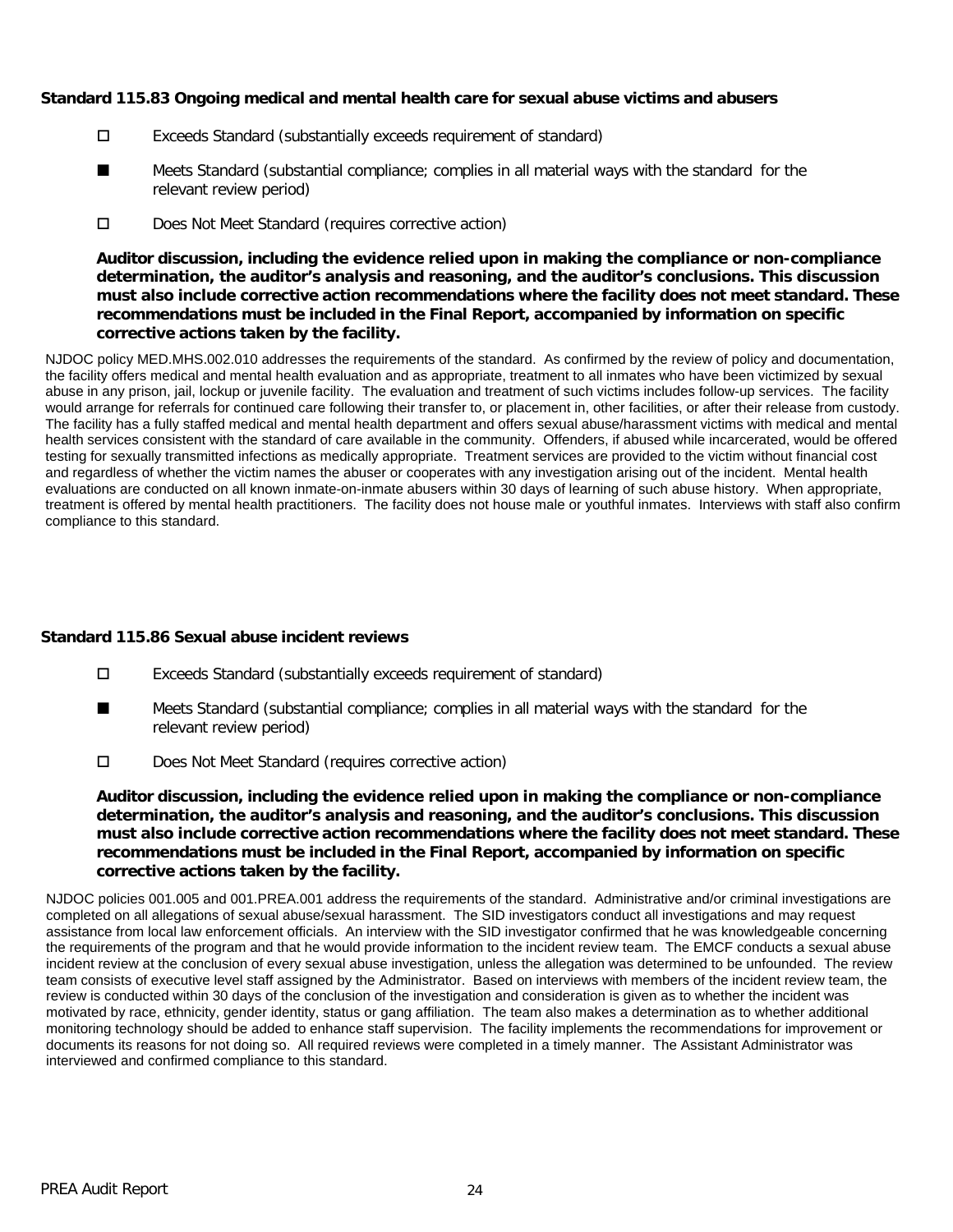#### **Standard 115.83 Ongoing medical and mental health care for sexual abuse victims and abusers**

- Exceeds Standard (substantially exceeds requirement of standard)
- Meets Standard (substantial compliance; complies in all material ways with the standard for the relevant review period) ■
- D Does Not Meet Standard (requires corrective action)

**Auditor discussion, including the evidence relied upon in making the compliance or non-compliance determination, the auditor's analysis and reasoning, and the auditor's conclusions. This discussion must also include corrective action recommendations where the facility does not meet standard. These recommendations must be included in the Final Report, accompanied by information on specific corrective actions taken by the facility.**

NJDOC policy MED.MHS.002.010 addresses the requirements of the standard. As confirmed by the review of policy and documentation, the facility offers medical and mental health evaluation and as appropriate, treatment to all inmates who have been victimized by sexual abuse in any prison, jail, lockup or juvenile facility. The evaluation and treatment of such victims includes follow-up services. The facility would arrange for referrals for continued care following their transfer to, or placement in, other facilities, or after their release from custody. The facility has a fully staffed medical and mental health department and offers sexual abuse/harassment victims with medical and mental health services consistent with the standard of care available in the community. Offenders, if abused while incarcerated, would be offered testing for sexually transmitted infections as medically appropriate. Treatment services are provided to the victim without financial cost and regardless of whether the victim names the abuser or cooperates with any investigation arising out of the incident. Mental health evaluations are conducted on all known inmate-on-inmate abusers within 30 days of learning of such abuse history. When appropriate, treatment is offered by mental health practitioners. The facility does not house male or youthful inmates. Interviews with staff also confirm compliance to this standard.

# **Standard 115.86 Sexual abuse incident reviews**

- Exceeds Standard (substantially exceeds requirement of standard)
- Meets Standard (substantial compliance; complies in all material ways with the standard for the relevant review period) ■
- Does Not Meet Standard (requires corrective action)

**Auditor discussion, including the evidence relied upon in making the compliance or non-compliance determination, the auditor's analysis and reasoning, and the auditor's conclusions. This discussion must also include corrective action recommendations where the facility does not meet standard. These recommendations must be included in the Final Report, accompanied by information on specific corrective actions taken by the facility.**

NJDOC policies 001.005 and 001.PREA.001 address the requirements of the standard. Administrative and/or criminal investigations are completed on all allegations of sexual abuse/sexual harassment. The SID investigators conduct all investigations and may request assistance from local law enforcement officials. An interview with the SID investigator confirmed that he was knowledgeable concerning the requirements of the program and that he would provide information to the incident review team. The EMCF conducts a sexual abuse incident review at the conclusion of every sexual abuse investigation, unless the allegation was determined to be unfounded. The review team consists of executive level staff assigned by the Administrator. Based on interviews with members of the incident review team, the review is conducted within 30 days of the conclusion of the investigation and consideration is given as to whether the incident was motivated by race, ethnicity, gender identity, status or gang affiliation. The team also makes a determination as to whether additional monitoring technology should be added to enhance staff supervision. The facility implements the recommendations for improvement or documents its reasons for not doing so. All required reviews were completed in a timely manner. The Assistant Administrator was interviewed and confirmed compliance to this standard.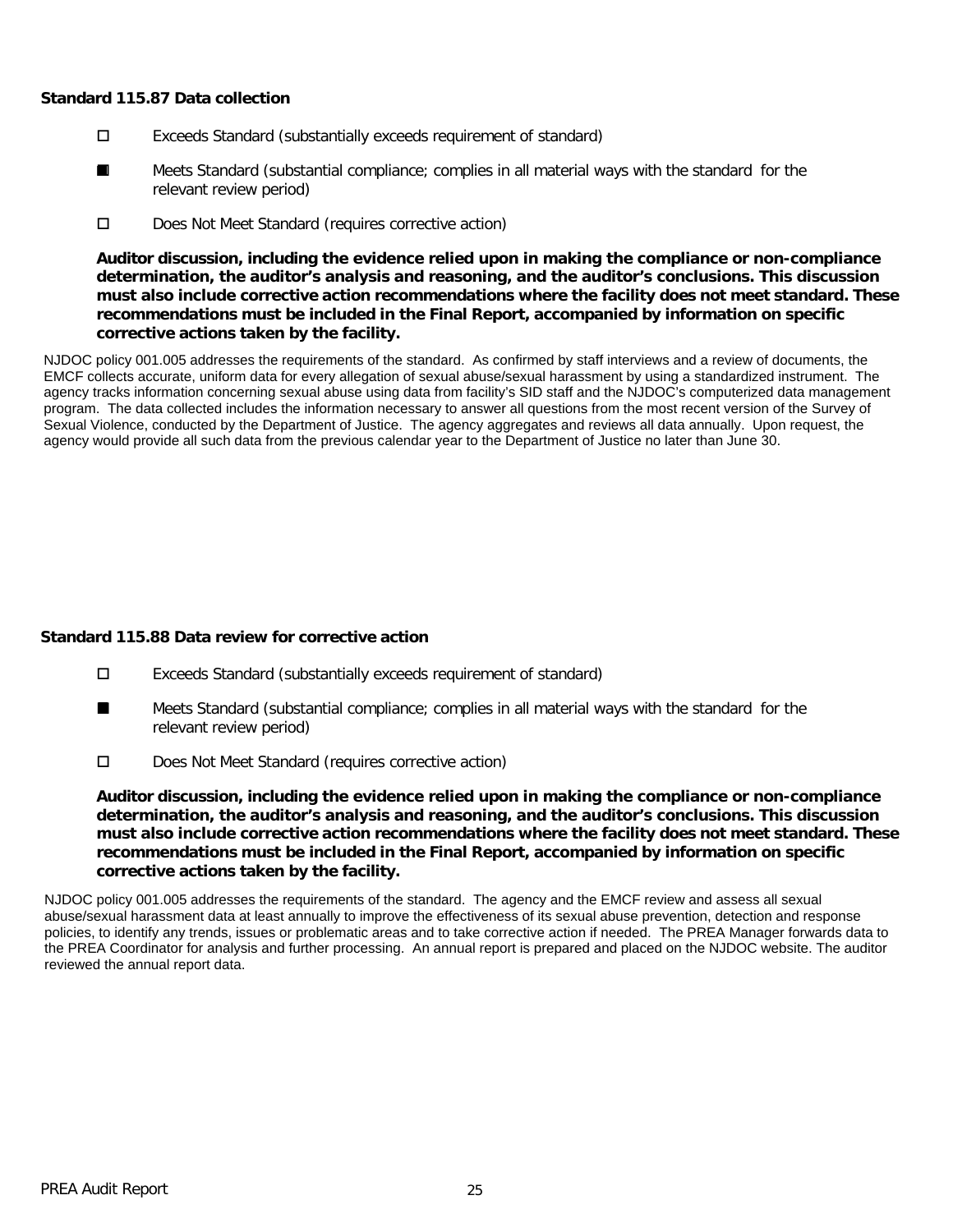#### **Standard 115.87 Data collection**

- Exceeds Standard (substantially exceeds requirement of standard)
- Meets Standard (substantial compliance; complies in all material ways with the standard for the relevant review period) ■
- D Does Not Meet Standard (requires corrective action)

**Auditor discussion, including the evidence relied upon in making the compliance or non-compliance determination, the auditor's analysis and reasoning, and the auditor's conclusions. This discussion must also include corrective action recommendations where the facility does not meet standard. These recommendations must be included in the Final Report, accompanied by information on specific corrective actions taken by the facility.**

NJDOC policy 001.005 addresses the requirements of the standard. As confirmed by staff interviews and a review of documents, the EMCF collects accurate, uniform data for every allegation of sexual abuse/sexual harassment by using a standardized instrument. The agency tracks information concerning sexual abuse using data from facility's SID staff and the NJDOC's computerized data management program. The data collected includes the information necessary to answer all questions from the most recent version of the Survey of Sexual Violence, conducted by the Department of Justice. The agency aggregates and reviews all data annually. Upon request, the agency would provide all such data from the previous calendar year to the Department of Justice no later than June 30.

# **Standard 115.88 Data review for corrective action**

- Exceeds Standard (substantially exceeds requirement of standard)
- Meets Standard (substantial compliance; complies in all material ways with the standard for the relevant review period) ■
- D Does Not Meet Standard (requires corrective action)

**Auditor discussion, including the evidence relied upon in making the compliance or non-compliance determination, the auditor's analysis and reasoning, and the auditor's conclusions. This discussion must also include corrective action recommendations where the facility does not meet standard. These recommendations must be included in the Final Report, accompanied by information on specific corrective actions taken by the facility.**

NJDOC policy 001.005 addresses the requirements of the standard. The agency and the EMCF review and assess all sexual abuse/sexual harassment data at least annually to improve the effectiveness of its sexual abuse prevention, detection and response policies, to identify any trends, issues or problematic areas and to take corrective action if needed. The PREA Manager forwards data to the PREA Coordinator for analysis and further processing. An annual report is prepared and placed on the NJDOC website. The auditor reviewed the annual report data.